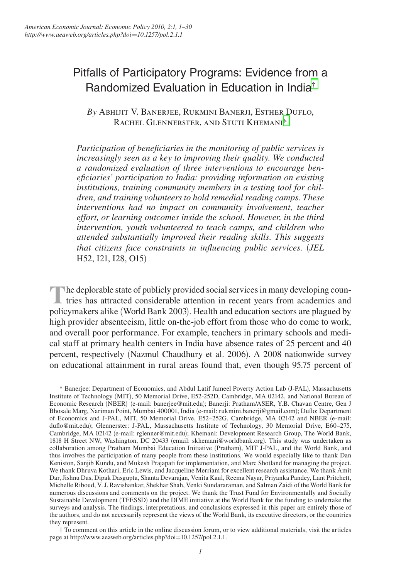# Pitfalls of Participatory Programs: Evidence from a Randomized Evaluation in Education in India†

*By* Abhijit V. Banerjee, Rukmini Banerji, Esther Duflo, Rachel Glennerster, and Stuti Khemani\*

*Participation of beneficiaries in the monitoring of public services is increasingly seen as a key to improving their quality. We conducted a randomized evaluation of three interventions to encourage beneficiaries' participation to India: providing information on existing institutions, training community members in a testing tool for children, and training volunteers to hold remedial reading camps. These interventions had no impact on community involvement, teacher effort, or learning outcomes inside the school. However, in the third intervention, youth volunteered to teach camps, and children who attended substantially improved their reading skills. This suggests that citizens face constraints in influencing public services.* (*JEL* H52, I21, I28, O15)

The deplorable state of publicly provided social services in many developing countries has attracted considerable attention in recent years from academics and policymakers alike (World Bank 2003). Health and education sectors are plagued by high provider absenteeism, little on-the-job effort from those who do come to work, and overall poor performance. For example, teachers in primary schools and medical staff at primary health centers in India have absence rates of 25 percent and 40 percent, respectively (Nazmul Chaudhury et al. 2006). A 2008 nationwide survey on educational attainment in rural areas found that, even though 95.75 percent of

\* Banerjee: Department of Economics, and Abdul Latif Jameel Poverty Action Lab (J-PAL), Massachusetts Institute of Technology (MIT), 50 Memorial Drive, E52-252D, Cambridge, MA 02142, and National Bureau of Economic Research (NBER) (e-mail: banerjee@mit.edu); Banerji: Pratham/ASER, Y.B. Chavan Centre, Gen J Bhosale Marg, Nariman Point, Mumbai 400001, India (e-mail: rukmini.banerji@gmail.com); Duflo: Department of Economics and J-PAL, MIT, 50 Memorial Drive, E52–252G, Cambridge, MA 02142 and NBER (e-mail: duflo@mit.edu); Glennerster: J-PAL, Massachusetts Institute of Technology, 30 Memorial Drive, E60–275, Cambridge, MA 02142 (e-mail: rglenner@mit.edu); Khemani: Development Research Group, The World Bank, 1818 H Street NW, Washington, DC 20433 (email: skhemani@worldbank.org). This study was undertaken as collaboration among Pratham Mumbai Education Initiative (Pratham), MIT J-PAL, and the World Bank, and thus involves the participation of many people from these institutions. We would especially like to thank Dan Keniston, Sanjib Kundu, and Mukesh Prajapati for implementation, and Marc Shotland for managing the project. We thank Dhruva Kothari, Eric Lewis, and Jacqueline Merriam for excellent research assistance. We thank Amit Dar, Jishnu Das, Dipak Dasgupta, Shanta Devarajan, Venita Kaul, Reema Nayar, Priyanka Pandey, Lant Pritchett, Michelle Riboud, V. J. Ravishankar, Shekhar Shah, Venki Sundararaman, and Salman Zaidi of the World Bank for numerous discussions and comments on the project. We thank the Trust Fund for Environmentally and Socially Sustainable Development (TFESSD) and the DIME initiative at the World Bank for the funding to undertake the surveys and analysis. The findings, interpretations, and conclusions expressed in this paper are entirely those of the authors, and do not necessarily represent the views of the World Bank, its executive directors, or the countries they represent.

† To comment on this article in the online discussion forum, or to view additional materials, visit the articles page at http://www.aeaweb.org/articles.php?doi=10.1257/pol.2.1.1.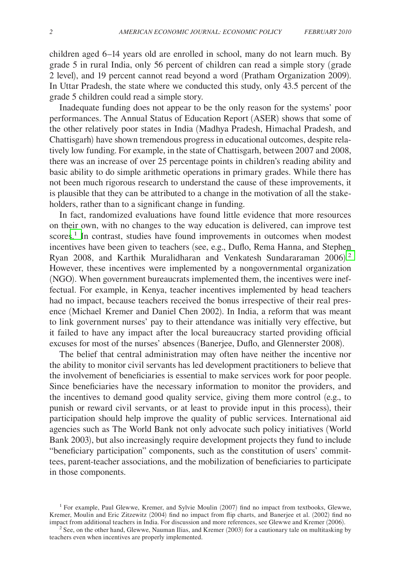children aged 6–14 years old are enrolled in school, many do not learn much. By grade 5 in rural India, only 56 percent of children can read a simple story (grade 2 level), and 19 percent cannot read beyond a word (Pratham Organization 2009). In Uttar Pradesh, the state where we conducted this study, only 43.5 percent of the grade 5 children could read a simple story.

Inadequate funding does not appear to be the only reason for the systems' poor performances. The Annual Status of Education Report (ASER) shows that some of the other relatively poor states in India (Madhya Pradesh, Himachal Pradesh, and Chattisgarh) have shown tremendous progress in educational outcomes, despite relatively low funding. For example, in the state of Chattisgarh, between 2007 and 2008, there was an increase of over 25 percentage points in children's reading ability and basic ability to do simple arithmetic operations in primary grades. While there has not been much rigorous research to understand the cause of these improvements, it is plausible that they can be attributed to a change in the motivation of all the stakeholders, rather than to a significant change in funding.

In fact, randomized evaluations have found little evidence that more resources on their own, with no changes to the way education is delivered, can improve test scores.<sup>1</sup> In contrast, studies have found improvements in outcomes when modest incentives have been given to teachers (see, e.g., Duflo, Rema Hanna, and Stephen Ryan 2008, and Karthik Muralidharan and Venkatesh Sundararaman 2006). 2 However, these incentives were implemented by a nongovernmental organization (NGO). When government bureaucrats implemented them, the incentives were ineffectual. For example, in Kenya, teacher incentives implemented by head teachers had no impact, because teachers received the bonus irrespective of their real presence (Michael Kremer and Daniel Chen 2002). In India, a reform that was meant to link government nurses' pay to their attendance was initially very effective, but it failed to have any impact after the local bureaucracy started providing official excuses for most of the nurses' absences (Banerjee, Duflo, and Glennerster 2008).

The belief that central administration may often have neither the incentive nor the ability to monitor civil servants has led development practitioners to believe that the involvement of beneficiaries is essential to make services work for poor people. Since beneficiaries have the necessary information to monitor the providers, and the incentives to demand good quality service, giving them more control (e.g., to punish or reward civil servants, or at least to provide input in this process), their participation should help improve the quality of public services. International aid agencies such as The World Bank not only advocate such policy initiatives (World Bank 2003), but also increasingly require development projects they fund to include "beneficiary participation" components, such as the constitution of users' committees, parent-teacher associations, and the mobilization of beneficiaries to participate in those components.

<sup>&</sup>lt;sup>1</sup> For example, Paul Glewwe, Kremer, and Sylvie Moulin (2007) find no impact from textbooks, Glewwe, Kremer, Moulin and Eric Zitzewitz (2004) find no impact from flip charts, and Banerjee et al. (2002) find no impact from additional teachers in India. For discussion and more references, see Glewwe and Kremer (2006).

<sup>&</sup>lt;sup>2</sup> See, on the other hand, Glewwe, Nauman Ilias, and Kremer (2003) for a cautionary tale on multitasking by teachers even when incentives are properly implemented.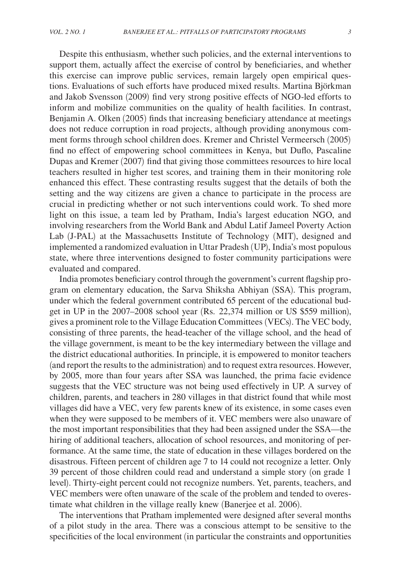Despite this enthusiasm, whether such policies, and the external interventions to support them, actually affect the exercise of control by beneficiaries, and whether this exercise can improve public services, remain largely open empirical questions. Evaluations of such efforts have produced mixed results. Martina Björkman and Jakob Svensson (2009) find very strong positive effects of NGO-led efforts to inform and mobilize communities on the quality of health facilities. In contrast, Benjamin A. Olken (2005) finds that increasing beneficiary attendance at meetings does not reduce corruption in road projects, although providing anonymous comment forms through school children does. Kremer and Christel Vermeersch (2005) find no effect of empowering school committees in Kenya, but Duflo, Pascaline Dupas and Kremer (2007) find that giving those committees resources to hire local teachers resulted in higher test scores, and training them in their monitoring role enhanced this effect. These contrasting results suggest that the details of both the setting and the way citizens are given a chance to participate in the process are crucial in predicting whether or not such interventions could work. To shed more light on this issue, a team led by Pratham, India's largest education NGO, and involving researchers from the World Bank and Abdul Latif Jameel Poverty Action Lab (J-PAL) at the Massachusetts Institute of Technology (MIT), designed and implemented a randomized evaluation in Uttar Pradesh (UP), India's most populous state, where three interventions designed to foster community participations were evaluated and compared.

India promotes beneficiary control through the government's current flagship program on elementary education, the Sarva Shiksha Abhiyan (SSA). This program, under which the federal government contributed 65 percent of the educational budget in UP in the 2007–2008 school year (Rs. 22,374 million or US \$559 million), gives a prominent role to the Village Education Committees (VECs). The VEC body, consisting of three parents, the head-teacher of the village school, and the head of the village government, is meant to be the key intermediary between the village and the district educational authorities. In principle, it is empowered to monitor teachers (and report the results to the administration) and to request extra resources. However, by 2005, more than four years after SSA was launched, the prima facie evidence suggests that the VEC structure was not being used effectively in UP. A survey of children, parents, and teachers in 280 villages in that district found that while most villages did have a VEC, very few parents knew of its existence, in some cases even when they were supposed to be members of it. VEC members were also unaware of the most important responsibilities that they had been assigned under the SSA—the hiring of additional teachers, allocation of school resources, and monitoring of performance. At the same time, the state of education in these villages bordered on the disastrous. Fifteen percent of children age 7 to 14 could not recognize a letter. Only 39 percent of those children could read and understand a simple story (on grade 1 level). Thirty-eight percent could not recognize numbers. Yet, parents, teachers, and VEC members were often unaware of the scale of the problem and tended to overestimate what children in the village really knew (Banerjee et al. 2006).

The interventions that Pratham implemented were designed after several months of a pilot study in the area. There was a conscious attempt to be sensitive to the specificities of the local environment (in particular the constraints and opportunities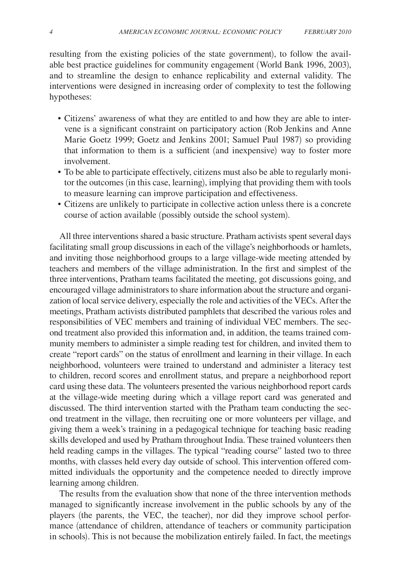resulting from the existing policies of the state government), to follow the available best practice guidelines for community engagement (World Bank 1996, 2003), and to streamline the design to enhance replicability and external validity. The interventions were designed in increasing order of complexity to test the following hypotheses:

- Citizens' awareness of what they are entitled to and how they are able to intervene is a significant constraint on participatory action (Rob Jenkins and Anne Marie Goetz 1999; Goetz and Jenkins 2001; Samuel Paul 1987) so providing that information to them is a sufficient (and inexpensive) way to foster more involvement.
- To be able to participate effectively, citizens must also be able to regularly monitor the outcomes (in this case, learning), implying that providing them with tools to measure learning can improve participation and effectiveness.
- Citizens are unlikely to participate in collective action unless there is a concrete course of action available (possibly outside the school system).

All three interventions shared a basic structure. Pratham activists spent several days facilitating small group discussions in each of the village's neighborhoods or hamlets, and inviting those neighborhood groups to a large village-wide meeting attended by teachers and members of the village administration. In the first and simplest of the three interventions, Pratham teams facilitated the meeting, got discussions going, and encouraged village administrators to share information about the structure and organization of local service delivery, especially the role and activities of the VECs. After the meetings, Pratham activists distributed pamphlets that described the various roles and responsibilities of VEC members and training of individual VEC members. The second treatment also provided this information and, in addition, the teams trained community members to administer a simple reading test for children, and invited them to create "report cards" on the status of enrollment and learning in their village. In each neighborhood, volunteers were trained to understand and administer a literacy test to children, record scores and enrollment status, and prepare a neighborhood report card using these data. The volunteers presented the various neighborhood report cards at the village-wide meeting during which a village report card was generated and discussed. The third intervention started with the Pratham team conducting the second treatment in the village, then recruiting one or more volunteers per village, and giving them a week's training in a pedagogical technique for teaching basic reading skills developed and used by Pratham throughout India. These trained volunteers then held reading camps in the villages. The typical "reading course" lasted two to three months, with classes held every day outside of school. This intervention offered committed individuals the opportunity and the competence needed to directly improve learning among children.

The results from the evaluation show that none of the three intervention methods managed to significantly increase involvement in the public schools by any of the players (the parents, the VEC, the teacher), nor did they improve school performance (attendance of children, attendance of teachers or community participation in schools). This is not because the mobilization entirely failed. In fact, the meetings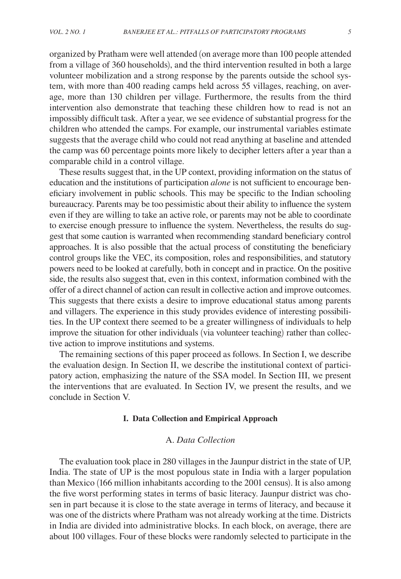<span id="page-4-0"></span>organized by Pratham were well attended (on average more than 100 people attended from a village of 360 households), and the third intervention resulted in both a large volunteer mobilization and a strong response by the parents outside the school system, with more than 400 reading camps held across 55 villages, reaching, on average, more than 130 children per village. Furthermore, the results from the third intervention also demonstrate that teaching these children how to read is not an impossibly difficult task. After a year, we see evidence of substantial progress for the children who attended the camps. For example, our instrumental variables estimate suggests that the average child who could not read anything at baseline and attended the camp was 60 percentage points more likely to decipher letters after a year than a comparable child in a control village.

These results suggest that, in the UP context, providing information on the status of education and the institutions of participation *alone* is not sufficient to encourage beneficiary involvement in public schools. This may be specific to the Indian schooling bureaucracy. Parents may be too pessimistic about their ability to influence the system even if they are willing to take an active role, or parents may not be able to coordinate to exercise enough pressure to influence the system. Nevertheless, the results do suggest that some caution is warranted when recommending standard beneficiary control approaches. It is also possible that the actual process of constituting the beneficiary control groups like the VEC, its composition, roles and responsibilities, and statutory powers need to be looked at carefully, both in concept and in practice. On the positive side, the results also suggest that, even in this context, information combined with the offer of a direct channel of action can result in collective action and improve outcomes. This suggests that there exists a desire to improve educational status among parents and villagers. The experience in this study provides evidence of interesting possibilities. In the UP context there seemed to be a greater willingness of individuals to help improve the situation for other individuals (via volunteer teaching) rather than collective action to improve institutions and systems.

The remaining sections of this paper proceed as follows. In Section I, we describe the evaluation design. In Section II, we describe the institutional context of participatory action, emphasizing the nature of the SSA model. In Section III, we present the interventions that are evaluated. In Section IV, we present the results, and we conclude in Section V.

# **I. Data Collection and Empirical Approach**

# A. *Data Collection*

The evaluation took place in 280 villages in the Jaunpur district in the state of UP, India. The state of UP is the most populous state in India with a larger population than Mexico (166 million inhabitants according to the 2001 census). It is also among the five worst performing states in terms of basic literacy. Jaunpur district was chosen in part because it is close to the state average in terms of literacy, and because it was one of the districts where Pratham was not already working at the time. Districts in India are divided into administrative blocks. In each block, on average, there are about 100 villages. Four of these blocks were randomly selected to participate in the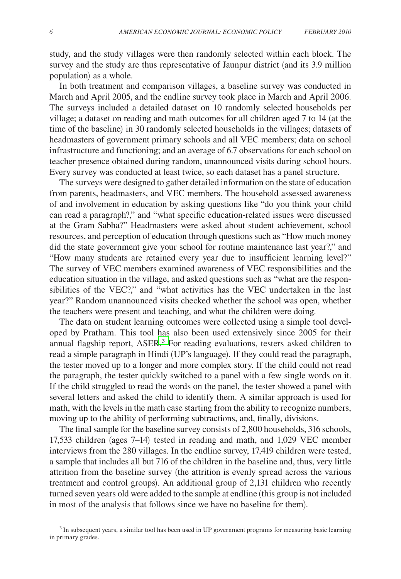study, and the study villages were then randomly selected within each block. The survey and the study are thus representative of Jaunpur district (and its 3.9 million population) as a whole.

In both treatment and comparison villages, a baseline survey was conducted in March and April 2005, and the endline survey took place in March and April 2006. The surveys included a detailed dataset on 10 randomly selected households per village; a dataset on reading and math outcomes for all children aged 7 to 14 (at the time of the baseline) in 30 randomly selected households in the villages; datasets of headmasters of government primary schools and all VEC members; data on school infrastructure and functioning; and an average of 6.7 observations for each school on teacher presence obtained during random, unannounced visits during school hours. Every survey was conducted at least twice, so each dataset has a panel structure.

The surveys were designed to gather detailed information on the state of education from parents, headmasters, and VEC members. The household assessed awareness of and involvement in education by asking questions like "do you think your child can read a paragraph?," and "what specific education-related issues were discussed at the Gram Sabha?" Headmasters were asked about student achievement, school resources, and perception of education through questions such as "How much money did the state government give your school for routine maintenance last year?," and "How many students are retained every year due to insufficient learning level?" The survey of VEC members examined awareness of VEC responsibilities and the education situation in the village, and asked questions such as "what are the responsibilities of the VEC?," and "what activities has the VEC undertaken in the last year?" Random unannounced visits checked whether the school was open, whether the teachers were present and teaching, and what the children were doing.

The data on student learning outcomes were collected using a simple tool developed by Pratham. This tool has also been used extensively since 2005 for their annual flagship report, ASER.<sup>3</sup> For reading evaluations, testers asked children to read a simple paragraph in Hindi (UP's language). If they could read the paragraph, the tester moved up to a longer and more complex story. If the child could not read the paragraph, the tester quickly switched to a panel with a few single words on it. If the child struggled to read the words on the panel, the tester showed a panel with several letters and asked the child to identify them. A similar approach is used for math, with the levels in the math case starting from the ability to recognize numbers, moving up to the ability of performing subtractions, and, finally, divisions.

The final sample for the baseline survey consists of 2,800 households, 316 schools, 17,533 children (ages 7–14) tested in reading and math, and 1,029 VEC member interviews from the 280 villages. In the endline survey, 17,419 children were tested, a sample that includes all but 716 of the children in the baseline and, thus, very little attrition from the baseline survey (the attrition is evenly spread across the various treatment and control groups). An additional group of 2,131 children who recently turned seven years old were added to the sample at endline (this group is not included in most of the analysis that follows since we have no baseline for them).

<sup>&</sup>lt;sup>3</sup> In subsequent years, a similar tool has been used in UP government programs for measuring basic learning in primary grades.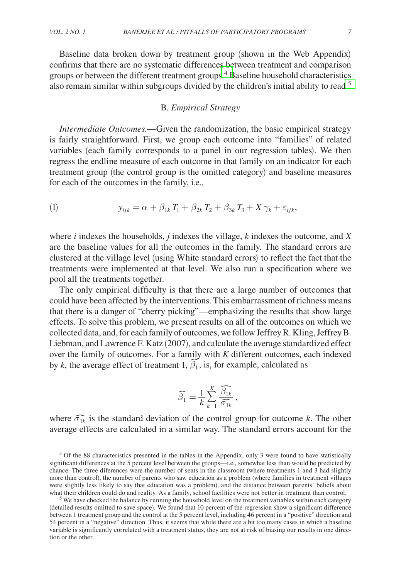<span id="page-6-0"></span>Baseline data broken down by treatment group (shown in the Web Appendix) confirms that there are no systematic differences between treatment and comparison groups or between the different treatment groups.4 Baseline household characteristics also remain similar within subgroups divided by the children's initial ability to read.<sup>5</sup>

# B. *Empirical Strategy*

*Intermediate Outcomes*.—Given the randomization, the basic empirical strategy is fairly straightforward. First, we group each outcome into "families" of related variables (each family corresponds to a panel in our regression tables). We then regress the endline measure of each outcome in that family on an indicator for each treatment group (the control group is the omitted category) and baseline measures for each of the outcomes in the family, i.e.,

(1) 
$$
y_{ijk} = \alpha + \beta_{1k} T_1 + \beta_{2k} T_2 + \beta_{3k} T_3 + X \gamma_k + \varepsilon_{ijk},
$$

where *i* indexes the households, *j* indexes the village, *k* indexes the outcome, and *X* are the baseline values for all the outcomes in the family. The standard errors are clustered at the village level (using White standard errors) to reflect the fact that the treatments were implemented at that level. We also run a specification where we pool all the treatments together.

The only empirical difficulty is that there are a large number of outcomes that could have been affected by the interventions. This embarrassment of richness means that there is a danger of "cherry picking"—emphasizing the results that show large effects. To solve this problem, we present results on all of the outcomes on which we collected data, and, for each family of outcomes, we follow Jeffrey R. Kling, Jeffrey B. Liebman, and Lawrence F. Katz (2007), and calculate the average standardized effect over the family of outcomes. For a family with *K* different outcomes, each indexed Liebman, and Lawrence F. Katz  $(2007)$ , and<br>over the family of outcomes. For a family<br>by k, the average effect of treatment 1,  $\hat{\beta}_1$  $\beta_1$ , is, for example, calculated as<br>  $\begin{bmatrix} 1 & \sqrt{6} \\ 0 & \sqrt{6} \\ 0 & 1 \end{bmatrix}$ 

$$
\widehat{\beta_1} = \frac{1}{k} \sum_{k=1}^{K} \frac{\widehat{\beta_{1k}}}{\widehat{\sigma_{1k}}},
$$

 $\widehat{\beta}_1 = \frac{1}{k} \sum_{k=1}^{\infty} \frac{\beta_{1k}}{\widehat{\sigma}_{1k}}$ ,<br>where  $\widehat{\sigma}_{1k}$  is the standard deviation of the control group for outcome *k*. The other average effects are calculated in a similar way. The standard errors account for the

<sup>4</sup> Of the 88 characteristics presented in the tables in the Appendix, only 3 were found to have statistically significant differences at the 5 percent level between the groups—i.e., somewhat less than would be predicted by chance. The three diferences were the number of seats in the classroom (where treatments 1 and 3 had slightly more than control), the number of parents who saw education as a problem (where families in treatment villages were slightly less likely to say that education was a problem), and the distance between parents' beliefs about what their children could do and reality. As a family, school facilities were not better in treatment than con

<sup>&</sup>lt;sup>5</sup> We have checked the balance by running the household level on the treatment variables within each category (detailed results omitted to save space). We found that 10 percent of the regression show a significant difference between 1 treatment group and the control at the 5 percent level, including 46 percent in a "positive" direction and 54 percent in a "negative" direction. Thus, it seems that while there are a bit too many cases in which a baseline variable is significantly correlated with a treatment status, they are not at risk of biasing our results in one direction or the other.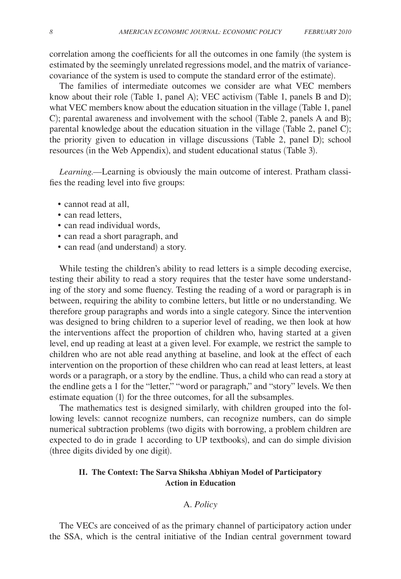<span id="page-7-0"></span>correlation among the coefficients for all the outcomes in one family (the system is estimated by the seemingly unrelated regressions model, and the matrix of variancecovariance of the system is used to compute the standard error of the estimate).

The families of intermediate outcomes we consider are what VEC members know about their role (Table 1, panel A); VEC activism (Table 1, panels B and D); what VEC members know about the education situation in the village (Table 1, panel C); parental awareness and involvement with the school (Table 2, panels A and B); parental knowledge about the education situation in the village (Table 2, panel C); the priority given to education in village discussions (Table 2, panel D); school resources (in the Web Appendix), and student educational status (Table 3).

*Learning*.—Learning is obviously the main outcome of interest. Pratham classifies the reading level into five groups:

- cannot read at all,
- can read letters.
- can read individual words,
- can read a short paragraph, and
- can read (and understand) a story.

While testing the children's ability to read letters is a simple decoding exercise, testing their ability to read a story requires that the tester have some understanding of the story and some fluency. Testing the reading of a word or paragraph is in between, requiring the ability to combine letters, but little or no understanding. We therefore group paragraphs and words into a single category. Since the intervention was designed to bring children to a superior level of reading, we then look at how the interventions affect the proportion of children who, having started at a given level, end up reading at least at a given level. For example, we restrict the sample to children who are not able read anything at baseline, and look at the effect of each intervention on the proportion of these children who can read at least letters, at least words or a paragraph, or a story by the endline. Thus, a child who can read a story at the endline gets a 1 for the "letter," "word or paragraph," and "story" levels. We then estimate equation (1) for the three outcomes, for all the subsamples.

The mathematics test is designed similarly, with children grouped into the following levels: cannot recognize numbers, can recognize numbers, can do simple numerical subtraction problems (two digits with borrowing, a problem children are expected to do in grade 1 according to UP textbooks), and can do simple division (three digits divided by one digit).

# **II. The Context: The Sarva Shiksha Abhiyan Model of Participatory Action in Education**

# A. *Policy*

The VECs are conceived of as the primary channel of participatory action under the SSA, which is the central initiative of the Indian central government toward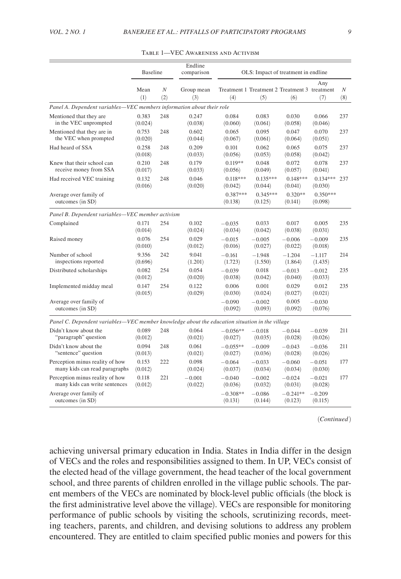|                                                                                                | <b>Baseline</b>  |                         | Endline<br>comparison | OLS: Impact of treatment in endline |                       |                                                      |                       |          |  |  |
|------------------------------------------------------------------------------------------------|------------------|-------------------------|-----------------------|-------------------------------------|-----------------------|------------------------------------------------------|-----------------------|----------|--|--|
|                                                                                                | Mean<br>(1)      | $\boldsymbol{N}$<br>(2) | Group mean<br>(3)     | (4)                                 | (5)                   | Treatment 1 Treatment 2 Treatment 3 treatment<br>(6) | Any<br>(7)            | N<br>(8) |  |  |
| Panel A. Dependent variables-VEC members information about their role                          |                  |                         |                       |                                     |                       |                                                      |                       |          |  |  |
| Mentioned that they are<br>in the VEC unprompted                                               | 0.383<br>(0.024) | 248                     | 0.247<br>(0.038)      | 0.084<br>(0.060)                    | 0.083<br>(0.061)      | 0.030<br>(0.058)                                     | 0.066<br>(0.046)      | 237      |  |  |
| Mentioned that they are in<br>the VEC when prompted                                            | 0.753<br>(0.020) | 248                     | 0.602<br>(0.044)      | 0.065<br>(0.067)                    | 0.095<br>(0.061)      | 0.047<br>(0.064)                                     | 0.070<br>(0.051)      | 237      |  |  |
| Had heard of SSA                                                                               | 0.258<br>(0.018) | 248                     | 0.209<br>(0.033)      | 0.101<br>(0.056)                    | 0.062<br>(0.053)      | 0.065<br>(0.058)                                     | 0.075<br>(0.042)      | 237      |  |  |
| Knew that their school can<br>receive money from SSA                                           | 0.210<br>(0.017) | 248                     | 0.179<br>(0.033)      | $0.119**$<br>(0.056)                | 0.048<br>(0.049)      | 0.072<br>(0.057)                                     | 0.078<br>(0.041)      | 237      |  |  |
| Had received VEC training                                                                      | 0.132<br>(0.016) | 248                     | 0.046<br>(0.020)      | $0.118***$<br>(0.042)               | $0.135***$<br>(0.044) | $0.148***$<br>(0.041)                                | $0.134***$<br>(0.030) | 237      |  |  |
| Average over family of<br>outcomes (in SD)                                                     |                  |                         |                       | $0.387***$<br>(0.138)               | $0.345***$<br>(0.125) | $0.320**$<br>(0.141)                                 | $0.350***$<br>(0.098) |          |  |  |
| Panel B. Dependent variables-VEC member activism                                               |                  |                         |                       |                                     |                       |                                                      |                       |          |  |  |
| Complained                                                                                     | 0.171<br>(0.014) | 254                     | 0.102<br>(0.024)      | $-0.035$<br>(0.034)                 | 0.033<br>(0.042)      | 0.017<br>(0.038)                                     | 0.005<br>(0.031)      | 235      |  |  |
| Raised money                                                                                   | 0.076<br>(0.010) | 254                     | 0.029<br>(0.012)      | $-0.015$<br>(0.016)                 | $-0.005$<br>(0.027)   | $-0.006$<br>(0.022)                                  | $-0.009$<br>(0.018)   | 235      |  |  |
| Number of school<br>inspections reported                                                       | 9.356<br>(0.696) | 242                     | 9.041<br>(1.201)      | $-0.161$<br>(1.723)                 | $-1.948$<br>(1.550)   | $-1.204$<br>(1.864)                                  | $-1.117$<br>(1.435)   | 214      |  |  |
| Distributed scholarships                                                                       | 0.082<br>(0.012) | 254                     | 0.054<br>(0.020)      | $-0.039$<br>(0.038)                 | 0.018<br>(0.042)      | $-0.013$<br>(0.040)                                  | $-0.012$<br>(0.033)   | 235      |  |  |
| Implemented midday meal                                                                        | 0.147<br>(0.015) | 254                     | 0.122<br>(0.029)      | 0.006<br>(0.030)                    | 0.001<br>(0.024)      | 0.029<br>(0.027)                                     | 0.012<br>(0.021)      | 235      |  |  |
| Average over family of<br>outcomes (in SD)                                                     |                  |                         |                       | $-0.090$<br>(0.092)                 | $-0.002$<br>(0.093)   | 0.005<br>(0.092)                                     | $-0.030$<br>(0.076)   |          |  |  |
| Panel C. Dependent variables—VEC member knowledge about the education situation in the village |                  |                         |                       |                                     |                       |                                                      |                       |          |  |  |
| Didn't know about the<br>"paragraph" question                                                  | 0.089<br>(0.012) | 248                     | 0.064<br>(0.021)      | $-0.056**$<br>(0.027)               | $-0.018$<br>(0.035)   | $-0.044$<br>(0.028)                                  | $-0.039$<br>(0.026)   | 211      |  |  |
| Didn't know about the<br>"sentence" question                                                   | 0.094<br>(0.013) | 248                     | 0.061<br>(0.021)      | $-0.055**$<br>(0.027)               | $-0.009$<br>(0.036)   | $-0.043$<br>(0.028)                                  | $-0.036$<br>(0.026)   | 211      |  |  |
| Perception minus reality of how<br>many kids can read paragraphs                               | 0.153<br>(0.012) | 222                     | 0.098<br>(0.024)      | $-0.064$<br>(0.037)                 | $-0.033$<br>(0.034)   | $-0.060$<br>(0.034)                                  | $-0.051$<br>(0.030)   | 177      |  |  |
| Perception minus reality of how<br>many kids can write sentences                               | 0.118<br>(0.012) | 221                     | $-0.001$<br>(0.022)   | $-0.040$<br>(0.036)                 | $-0.002$<br>(0.032)   | $-0.024$<br>(0.031)                                  | $-0.021$<br>(0.028)   | 177      |  |  |
| Average over family of<br>outcomes (in SD)                                                     |                  |                         |                       | $-0.308**$<br>(0.131)               | $-0.086$<br>(0.144)   | $-0.241**$<br>(0.123)                                | $-0.209$<br>(0.115)   |          |  |  |

Table 1—VEC Awareness and Activism

(*Continued* )

achieving universal primary education in India. States in India differ in the design of VECs and the roles and responsibilities assigned to them. In UP, VECs consist of the elected head of the village government, the head teacher of the local government school, and three parents of children enrolled in the village public schools. The parent members of the VECs are nominated by block-level public officials (the block is the first administrative level above the village). VECs are responsible for monitoring performance of public schools by visiting the schools, scrutinizing records, meeting teachers, parents, and children, and devising solutions to address any problem encountered. They are entitled to claim specified public monies and powers for this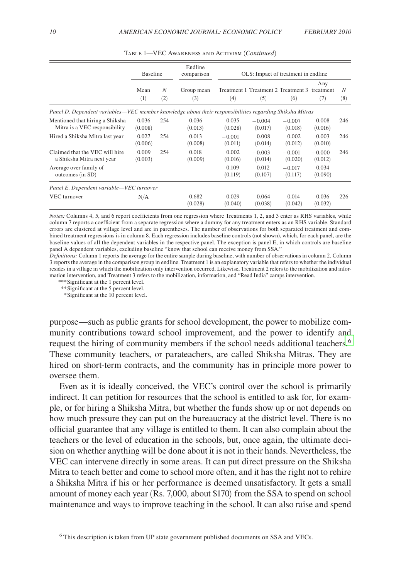|                                                                                                         | Baseline         |          | Endline<br>comparison | OLS: Impact of treatment in endline |                     |                                                      |                     |          |  |
|---------------------------------------------------------------------------------------------------------|------------------|----------|-----------------------|-------------------------------------|---------------------|------------------------------------------------------|---------------------|----------|--|
|                                                                                                         | Mean<br>(1)      | N<br>(2) | Group mean<br>(3)     | (4)                                 | (5)                 | Treatment 1 Treatment 2 Treatment 3 treatment<br>(6) | Any<br>(7)          | N<br>(8) |  |
| Panel D. Dependent variables—VEC member knowledge about their responsibilities regarding Shiksha Mitras |                  |          |                       |                                     |                     |                                                      |                     |          |  |
| Mentioned that hiring a Shiksha<br>Mitra is a VEC responsibility                                        | 0.036<br>(0.008) | 254      | 0.036<br>(0.013)      | 0.035<br>(0.028)                    | $-0.004$<br>(0.017) | $-0.007$<br>(0.018)                                  | 0.008<br>(0.016)    | 246      |  |
| Hired a Shiksha Mitra last year                                                                         | 0.027<br>(0.006) | 254      | 0.013<br>(0.008)      | $-0.001$<br>(0.011)                 | 0.008<br>(0.014)    | 0.002<br>(0.012)                                     | 0.003<br>(0.010)    | 246      |  |
| Claimed that the VEC will hire<br>a Shiksha Mitra next year                                             | 0.009<br>(0.003) | 254      | 0.018<br>(0.009)      | 0.002<br>(0.016)                    | $-0.003$<br>(0.014) | $-0.001$<br>(0.020)                                  | $-0.000$<br>(0.012) | 246      |  |
| Average over family of<br>outcomes (in SD)                                                              |                  |          |                       | 0.109<br>(0.119)                    | 0.012<br>(0.107)    | $-0.017$<br>(0.117)                                  | 0.034<br>(0.090)    |          |  |
| Panel E. Dependent variable—VEC turnover                                                                |                  |          |                       |                                     |                     |                                                      |                     |          |  |
| <b>VEC</b> turnover                                                                                     | N/A              |          | 0.682<br>(0.028)      | 0.029<br>(0.040)                    | 0.064<br>(0.038)    | 0.014<br>(0.042)                                     | 0.036<br>(0.032)    | 226      |  |

Table 1—VEC Awareness and Activism (*Continued*)

*Notes:* Columns 4, 5, and 6 report coefficients from one regression where Treatments 1, 2, and 3 enter as RHS variables, while column 7 reports a coefficient from a separate regression where a dummy for any treatment enters as an RHS variable. Standard errors are clustered at village level and are in parentheses. The number of observations for both separated treatment and combined treatment regressions is in column 8. Each regression includes baseline controls (not shown), which, for each panel, are the baseline values of all the dependent variables in the respective panel. The exception is panel E, in which controls are baseline panel A dependent variables, excluding baseline "know that school can receive money from SSA."

*Definitions:* Column 1 reports the average for the entire sample during baseline, with number of observations in column 2. Column 3 reports the average in the comparison group in endline. Treatment 1 is an explanatory variable that refers to whether the individual resides in a village in which the mobilization only intervention occurred. Likewise, Treatment 2 refers to the mobilization and information intervention, and Treatment 3 refers to the mobilization, information, and "Read India" camps intervention.

*\*\*\**Significant at the 1 percent level.

*\*\**Significant at the 5 percent level.  *\**Significant at the 10 percent level.

purpose—such as public grants for school development, the power to mobilize community contributions toward school improvement, and the power to identify and request the hiring of community members if the school needs additional teachers.<sup>6</sup> These community teachers, or parateachers, are called Shiksha Mitras. They are hired on short-term contracts, and the community has in principle more power to oversee them.

Even as it is ideally conceived, the VEC's control over the school is primarily indirect. It can petition for resources that the school is entitled to ask for, for example, or for hiring a Shiksha Mitra, but whether the funds show up or not depends on how much pressure they can put on the bureaucracy at the district level. There is no official guarantee that any village is entitled to them. It can also complain about the teachers or the level of education in the schools, but, once again, the ultimate decision on whether anything will be done about it is not in their hands. Nevertheless, the VEC can intervene directly in some areas. It can put direct pressure on the Shiksha Mitra to teach better and come to school more often, and it has the right not to rehire a Shiksha Mitra if his or her performance is deemed unsatisfactory. It gets a small amount of money each year (Rs. 7,000, about \$170) from the SSA to spend on school maintenance and ways to improve teaching in the school. It can also raise and spend

<sup>6</sup> This description is taken from UP state government published documents on SSA and VECs.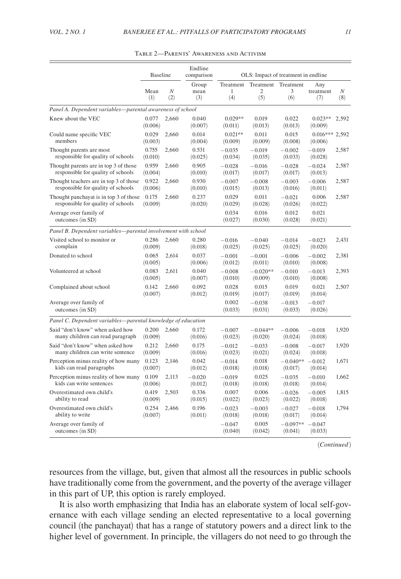|                                                                              | <b>Baseline</b>  |                     | Endline<br>comparison |                       | OLS: Impact of treatment in endline        |                              |                            |                         |  |  |  |
|------------------------------------------------------------------------------|------------------|---------------------|-----------------------|-----------------------|--------------------------------------------|------------------------------|----------------------------|-------------------------|--|--|--|
|                                                                              | Mean<br>(1)      | $\mathcal N$<br>(2) | Group<br>mean<br>(3)  | Treatment<br>1<br>(4) | Treatment<br>$\mathcal{D}_{\alpha}$<br>(5) | Treatment<br>3<br>(6)        | Any<br>treatment<br>(7)    | $\boldsymbol{N}$<br>(8) |  |  |  |
| Panel A. Dependent variables-parental awareness of school                    |                  |                     |                       |                       |                                            |                              |                            |                         |  |  |  |
| Knew about the VEC                                                           | 0.077<br>(0.006) | 2.660               | 0.040<br>(0.007)      | $0.029**$<br>(0.011)  | 0.019<br>(0.013)                           | 0.022<br>(0.013)             | $0.023**$<br>(0.009)       | 2.592                   |  |  |  |
| Could name specific VEC<br>members                                           | 0.029<br>(0.003) | 2.660               | 0.014<br>(0.004)      | $0.021**$<br>(0.009)  | 0.011<br>(0.009)                           | 0.015<br>(0.008)             | $0.016***2,592$<br>(0.006) |                         |  |  |  |
| Thought parents are most<br>responsible for quality of schools               | 0.755<br>(0.010) | 2,660               | 0.531<br>(0.025)      | $-0.035$<br>(0.034)   | $-0.019$<br>(0.035)                        | $-0.002$<br>(0.033)          | $-0.019$<br>(0.028)        | 2,587                   |  |  |  |
| Thought parents are in top 3 of those<br>responsible for quality of schools  | 0.959<br>(0.004) | 2.660               | 0.905<br>(0.010)      | $-0.028$<br>(0.017)   | $-0.016$<br>(0.017)                        | $-0.028$<br>(0.017)          | $-0.024$<br>(0.013)        | 2,587                   |  |  |  |
| Thought teachers are in top 3 of those<br>responsible for quality of schools | 0.922<br>(0.006) | 2.660               | 0.930<br>(0.010)      | $-0.007$<br>(0.015)   | $-0.008$<br>(0.013)                        | $-0.003$<br>(0.016)          | $-0.006$<br>(0.011)        | 2.587                   |  |  |  |
| Thought panchayat is in top 3 of those<br>responsible for quality of schools | 0.175<br>(0.009) | 2,660               | 0.237<br>(0.020)      | 0.029<br>(0.029)      | 0.011<br>(0.028)                           | $-0.021$<br>(0.026)          | 0.006<br>(0.022)           | 2,587                   |  |  |  |
| Average over family of<br>outcomes (in SD)                                   |                  |                     |                       | 0.034<br>(0.027)      | 0.016<br>(0.030)                           | 0.012<br>(0.028)             | 0.021<br>(0.021)           |                         |  |  |  |
| Panel B. Dependent variables-parental involvement with school                |                  |                     |                       |                       |                                            |                              |                            |                         |  |  |  |
| Visited school to monitor or<br>complain                                     | 0.286<br>(0.009) | 2,660               | 0.280<br>(0.018)      | $-0.016$<br>(0.025)   | $-0.040$<br>(0.025)                        | $-0.014$<br>(0.025)          | $-0.023$<br>(0.020)        | 2,431                   |  |  |  |
| Donated to school                                                            | 0.065<br>(0.005) | 2.614               | 0.037<br>(0.006)      | $-0.001$<br>(0.012)   | $-0.001$<br>(0.011)                        | $-0.006$<br>(0.010)          | $-0.002$<br>(0.008)        | 2.381                   |  |  |  |
| Volunteered at school                                                        | 0.083<br>(0.005) | 2.611               | 0.040<br>(0.007)      | $-0.008$<br>(0.010)   | $-0.020**$<br>(0.009)                      | $-0.010$<br>(0.010)          | $-0.013$<br>(0.008)        | 2.393                   |  |  |  |
| Complained about school                                                      | 0.142<br>(0.007) | 2,660               | 0.092<br>(0.012)      | 0.028<br>(0.019)      | 0.015<br>(0.017)                           | 0.019<br>(0.019)             | 0.021<br>(0.014)           | 2,507                   |  |  |  |
| Average over family of<br>outcomes (in SD)                                   |                  |                     |                       | 0.002<br>(0.033)      | $-0.038$<br>(0.031)                        | $-0.013$<br>(0.033)          | $-0.017$<br>(0.026)        |                         |  |  |  |
| Panel C. Dependent variables—parental knowledge of education                 |                  |                     |                       |                       |                                            |                              |                            |                         |  |  |  |
| Said "don't know" when asked how<br>many children can read paragraph         | 0.200<br>(0.009) | 2,660               | 0.172<br>(0.016)      | $-0.007$<br>(0.023)   | $-0.044**$<br>(0.020)                      | $-0.006$<br>(0.024)          | $-0.018$<br>(0.018)        | 1,920                   |  |  |  |
| Said "don't know" when asked how<br>many children can write sentence         | 0.212<br>(0.009) | 2.660               | 0.175<br>(0.016)      | $-0.012$<br>(0.023)   | $-0.033$<br>(0.021)                        | $-0.008$<br>(0.024)          | $-0.017$<br>(0.018)        | 1,920                   |  |  |  |
| Perception minus reality of how many<br>kids can read paragraphs             | 0.123<br>(0.007) | 2.146               | 0.042<br>(0.012)      | $-0.014$<br>(0.018)   | 0.018<br>(0.018)                           | $-0.040** -0.012$<br>(0.017) | (0.014)                    | 1.671                   |  |  |  |
| Perception minus reality of how many<br>kids can write sentences             | 0.109<br>(0.006) | 2,113               | $-0.020$<br>(0.012)   | $-0.019$<br>(0.018)   | 0.025<br>(0.018)                           | $-0.035$<br>(0.018)          | $-0.010$<br>(0.014)        | 1,662                   |  |  |  |
| Overestimated own child's<br>ability to read                                 | 0.419<br>(0.009) | 2,503               | 0.336<br>(0.015)      | 0.007<br>(0.022)      | 0.006<br>(0.023)                           | $-0.026$<br>(0.022)          | $-0.005$<br>(0.018)        | 1,815                   |  |  |  |
| Overestimated own child's<br>ability to write                                | 0.254<br>(0.007) | 2,466               | 0.196<br>(0.011)      | $-0.023$<br>(0.018)   | $-0.003$<br>(0.018)                        | $-0.027$<br>(0.017)          | $-0.018$<br>(0.014)        | 1.794                   |  |  |  |
| Average over family of<br>outcomes (in SD)                                   |                  |                     |                       | $-0.047$<br>(0.040)   | 0.005<br>(0.042)                           | $-0.097**$<br>(0.041)        | $-0.047$<br>(0.033)        |                         |  |  |  |

Table 2—Parents' Awareness and Activism

(*Continued* )

resources from the village, but, given that almost all the resources in public schools have traditionally come from the government, and the poverty of the average villager in this part of UP, this option is rarely employed.

It is also worth emphasizing that India has an elaborate system of local self-governance with each village sending an elected representative to a local governing council (the panchayat) that has a range of statutory powers and a direct link to the higher level of government. In principle, the villagers do not need to go through the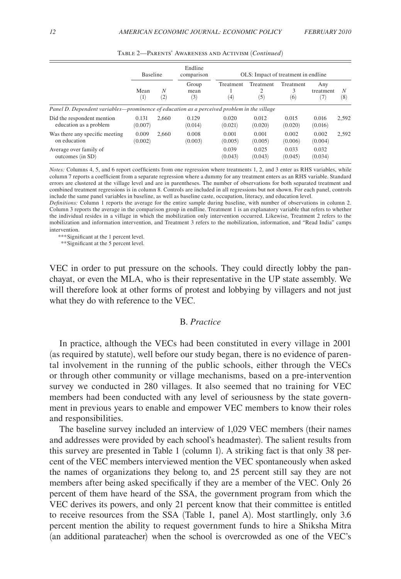<span id="page-11-0"></span>

|                                                                                            | <b>Baseline</b>          |          | Endline<br>comparison | OLS: Impact of treatment in endline |                         |                       |                         |          |  |
|--------------------------------------------------------------------------------------------|--------------------------|----------|-----------------------|-------------------------------------|-------------------------|-----------------------|-------------------------|----------|--|
|                                                                                            | Mean<br>$\left(1\right)$ | N<br>(2) | Group<br>mean<br>(3)  | Treatment<br>$\left( 4\right)$      | <b>Treatment</b><br>(5) | Treatment<br>3<br>(6) | Any<br>treatment<br>(7) | N<br>(8) |  |
| Panel D. Dependent variables—prominence of education as a perceived problem in the village |                          |          |                       |                                     |                         |                       |                         |          |  |
| Did the respondent mention<br>education as a problem                                       | 0.131<br>(0.007)         | 2.660    | 0.129<br>(0.014)      | 0.020<br>(0.021)                    | 0.012<br>(0.020)        | 0.015<br>(0.020)      | 0.016<br>(0.016)        | 2.592    |  |
| Was there any specific meeting<br>on education                                             | 0.009<br>(0.002)         | 2.660    | 0.008<br>(0.003)      | 0.001<br>(0.005)                    | 0.001<br>(0.005)        | 0.002<br>(0.006)      | 0.002<br>(0.004)        | 2.592    |  |
| Average over family of<br>outcomes (in SD)                                                 |                          |          |                       | 0.039<br>(0.043)                    | 0.025<br>(0.043)        | 0.033<br>(0.045)      | 0.032<br>(0.034)        |          |  |

Table 2—Parents' Awareness and Activism (*Continued*)

*Notes:* Columns 4, 5, and 6 report coefficients from one regression where treatments 1, 2, and 3 enter as RHS variables, while column 7 reports a coefficient from a separate regression where a dummy for any treatment enters as an RHS variable. Standard errors are clustered at the village level and are in parentheses. The number of observations for both separated treatment and combined treatment regressions is in column 8. Controls are included in all regressions but not shown. For each panel, controls include the same panel variables in baseline, as well as baseline caste, occupation, literacy, and education level.

*Definitions:* Column 1 reports the average for the entire sample during baseline, with number of observations in column 2. Column 3 reports the average in the comparison group in endline. Treatment 1 is an explanatory variable that refers to whether the individual resides in a village in which the mobilization only intervention occurred. Likewise, Treatment 2 refers to the mobilization and information intervention, and Treatment 3 refers to the mobilization, information, and "Read India" camps intervention.

*\*\*\**Significant at the 1 percent level.

*\*\**Significant at the 5 percent level.

VEC in order to put pressure on the schools. They could directly lobby the panchayat, or even the MLA, who is their representative in the UP state assembly. We will therefore look at other forms of protest and lobbying by villagers and not just what they do with reference to the VEC.

# B. *Practice*

In practice, although the VECs had been constituted in every village in 2001 (as required by statute), well before our study began, there is no evidence of parental involvement in the running of the public schools, either through the VECs or through other community or village mechanisms, based on a pre-intervention survey we conducted in 280 villages. It also seemed that no training for VEC members had been conducted with any level of seriousness by the state government in previous years to enable and empower VEC members to know their roles and responsibilities.

The baseline survey included an interview of 1,029 VEC members (their names and addresses were provided by each school's headmaster). The salient results from this survey are presented in Table 1 (column 1). A striking fact is that only 38 percent of the VEC members interviewed mention the VEC spontaneously when asked the names of organizations they belong to, and 25 percent still say they are not members after being asked specifically if they are a member of the VEC. Only 26 percent of them have heard of the SSA, the government program from which the VEC derives its powers, and only 21 percent know that their committee is entitled to receive resources from the SSA (Table 1, panel A). Most startlingly, only 3.6 percent mention the ability to request government funds to hire a Shiksha Mitra (an additional parateacher) when the school is overcrowded as one of the VEC's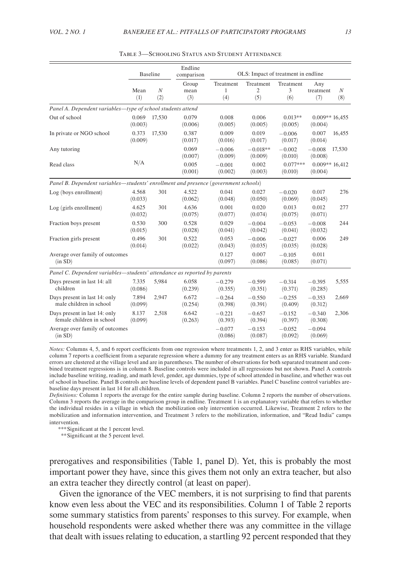|                                                                                     | Baseline         |                       | Endline<br>comparison |                       |                       | OLS: Impact of treatment in endline |                            |                         |  |
|-------------------------------------------------------------------------------------|------------------|-----------------------|-----------------------|-----------------------|-----------------------|-------------------------------------|----------------------------|-------------------------|--|
|                                                                                     | Mean<br>(1)      | $\overline{N}$<br>(2) | Group<br>mean<br>(3)  | Treatment<br>1<br>(4) | Treatment<br>2<br>(5) | Treatment<br>3<br>(6)               | Any<br>treatment<br>(7)    | $\boldsymbol{N}$<br>(8) |  |
| Panel A. Dependent variables-type of school students attend                         |                  |                       |                       |                       |                       |                                     |                            |                         |  |
| Out of school                                                                       | 0.069<br>(0.003) | 17.530                | 0.079<br>(0.006)      | 0.008<br>(0.005)      | 0.006<br>(0.005)      | $0.013**$<br>(0.005)                | $0.009**16,455$<br>(0.004) |                         |  |
| In private or NGO school                                                            | 0.373<br>(0.009) | 17,530                | 0.387<br>(0.017)      | 0.009<br>(0.016)      | 0.019<br>(0.017)      | $-0.006$<br>(0.017)                 | 0.007<br>(0.014)           | 16,455                  |  |
| Any tutoring                                                                        |                  |                       | 0.069<br>(0.007)      | $-0.006$<br>(0.009)   | $-0.018**$<br>(0.009) | $-0.002$<br>(0.010)                 | $-0.008$<br>(0.008)        | 17,530                  |  |
| Read class                                                                          | N/A              |                       | 0.005<br>(0.001)      | $-0.001$<br>(0.002)   | 0.002<br>(0.003)      | $0.077***$<br>(0.010)               | $0.009**16,412$<br>(0.004) |                         |  |
| Panel B. Dependent variables—students' enrollment and presence (government schools) |                  |                       |                       |                       |                       |                                     |                            |                         |  |
| Log (boys enrollment)                                                               | 4.568<br>(0.033) | 301                   | 4.522<br>(0.062)      | 0.041<br>(0.048)      | 0.027<br>(0.050)      | $-0.020$<br>(0.069)                 | 0.017<br>(0.045)           | 276                     |  |
| Log (girls enrollment)                                                              | 4.625<br>(0.032) | 301                   | 4.636<br>(0.075)      | 0.001<br>(0.077)      | 0.020<br>(0.074)      | 0.013<br>(0.075)                    | 0.012<br>(0.071)           | 277                     |  |
| Fraction boys present                                                               | 0.530<br>(0.015) | 300                   | 0.528<br>(0.028)      | 0.029<br>(0.041)      | $-0.004$<br>(0.042)   | $-0.053$<br>(0.041)                 | $-0.008$<br>(0.032)        | 244                     |  |
| Fraction girls present                                                              | 0.496<br>(0.014) | 301                   | 0.522<br>(0.022)      | 0.053<br>(0.043)      | $-0.006$<br>(0.035)   | $-0.027$<br>(0.035)                 | 0.006<br>(0.028)           | 249                     |  |
| Average over family of outcomes<br>(in SD)                                          |                  |                       |                       | 0.127<br>(0.097)      | 0.007<br>(0.086)      | $-0.105$<br>(0.085)                 | 0.011<br>(0.071)           |                         |  |
| Panel C. Dependent variables-students' attendance as reported by parents            |                  |                       |                       |                       |                       |                                     |                            |                         |  |
| Days present in last 14: all<br>children                                            | 7.335<br>(0.086) | 5,984                 | 6.058<br>(0.239)      | $-0.279$<br>(0.355)   | $-0.599$<br>(0.351)   | $-0.314$<br>(0.371)                 | $-0.395$<br>(0.285)        | 5,555                   |  |
| Days present in last 14: only<br>male children in school                            | 7.894<br>(0.099) | 2,947                 | 6.672<br>(0.254)      | $-0.264$<br>(0.398)   | $-0.550$<br>(0.391)   | $-0.255$<br>(0.409)                 | $-0.353$<br>(0.312)        | 2,669                   |  |
| Days present in last 14: only<br>female children in school                          | 8.137<br>(0.099) | 2,518                 | 6.642<br>(0.263)      | $-0.221$<br>(0.393)   | $-0.657$<br>(0.394)   | $-0.152$<br>(0.397)                 | $-0.340$<br>(0.308)        | 2,306                   |  |
| Average over family of outcomes<br>(in SD)                                          |                  |                       |                       | $-0.077$<br>(0.086)   | $-0.153$<br>(0.087)   | $-0.052$<br>(0.092)                 | $-0.094$<br>(0.069)        |                         |  |

Table 3—Schooling Status and Student Attendance

*Notes:* Columns 4, 5, and 6 report coefficients from one regression where treatments 1, 2, and 3 enter as RHS variables, while column 7 reports a coefficient from a separate regression where a dummy for any treatment enters as an RHS variable. Standard errors are clustered at the village level and are in parentheses. The number of observations for both separated treatment and combined treatment regressions is in column 8. Baseline controls were included in all regressions but not shown. Panel A controls include baseline writing, reading, and math level, gender, age dummies, type of school attended in baseline, and whether was out of school in baseline. Panel B controls are baseline levels of dependent panel B variables. Panel C baseline control variables arebaseline days present in last 14 for all children.

*Definitions:* Column 1 reports the average for the entire sample during baseline. Column 2 reports the number of observations. Column 3 reports the average in the comparison group in endline. Treatment 1 is an explanatory variable that refers to whether the individual resides in a village in which the mobilization only intervention occurred. Likewise, Treatment 2 refers to the mobilization and information intervention, and Treatment 3 refers to the mobilization, information, and "Read India" camps intervention.

*\*\*\**Significant at the 1 percent level.

*\*\**Significant at the 5 percent level.

prerogatives and responsibilities (Table 1, panel D). Yet, this is probably the most important power they have, since this gives them not only an extra teacher, but also an extra teacher they directly control (at least on paper).

Given the ignorance of the VEC members, it is not surprising to find that parents know even less about the VEC and its responsibilities. Column 1 of Table 2 reports some summary statistics from parents' responses to this survey. For example, when household respondents were asked whether there was any committee in the village that dealt with issues relating to education, a startling 92 percent responded that they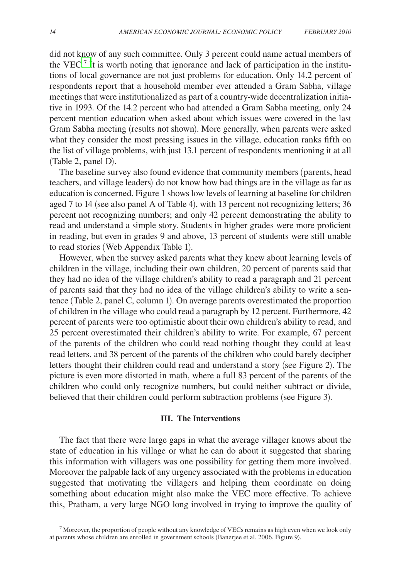<span id="page-13-0"></span>did not know of any such committee. Only 3 percent could name actual members of the VEC.<sup>7</sup> It is worth noting that ignorance and lack of participation in the institutions of local governance are not just problems for education. Only 14.2 percent of respondents report that a household member ever attended a Gram Sabha, village meetings that were institutionalized as part of a country-wide decentralization initiative in 1993. Of the 14.2 percent who had attended a Gram Sabha meeting, only 24 percent mention education when asked about which issues were covered in the last Gram Sabha meeting (results not shown). More generally, when parents were asked what they consider the most pressing issues in the village, education ranks fifth on the list of village problems, with just 13.1 percent of respondents mentioning it at all (Table 2, panel D).

The baseline survey also found evidence that community members (parents, head teachers, and village leaders) do not know how bad things are in the village as far as education is concerned. Figure 1 shows low levels of learning at baseline for children aged 7 to 14 (see also panel A of Table 4), with 13 percent not recognizing letters; 36 percent not recognizing numbers; and only 42 percent demonstrating the ability to read and understand a simple story. Students in higher grades were more proficient in reading, but even in grades 9 and above, 13 percent of students were still unable to read stories (Web Appendix Table 1).

However, when the survey asked parents what they knew about learning levels of children in the village, including their own children, 20 percent of parents said that they had no idea of the village children's ability to read a paragraph and 21 percent of parents said that they had no idea of the village children's ability to write a sentence (Table 2, panel C, column 1). On average parents overestimated the proportion of children in the village who could read a paragraph by 12 percent. Furthermore, 42 percent of parents were too optimistic about their own children's ability to read, and 25 percent overestimated their children's ability to write. For example, 67 percent of the parents of the children who could read nothing thought they could at least read letters, and 38 percent of the parents of the children who could barely decipher letters thought their children could read and understand a story (see Figure 2). The picture is even more distorted in math, where a full 83 percent of the parents of the children who could only recognize numbers, but could neither subtract or divide, believed that their children could perform subtraction problems (see Figure 3).

#### **III. The Interventions**

The fact that there were large gaps in what the average villager knows about the state of education in his village or what he can do about it suggested that sharing this information with villagers was one possibility for getting them more involved. Moreover the palpable lack of any urgency associated with the problems in education suggested that motivating the villagers and helping them coordinate on doing something about education might also make the VEC more effective. To achieve this, Pratham, a very large NGO long involved in trying to improve the quality of

 $7$  Moreover, the proportion of people without any knowledge of VECs remains as high even when we look only at parents whose children are enrolled in government schools (Banerjee et al. 2006, Figure 9).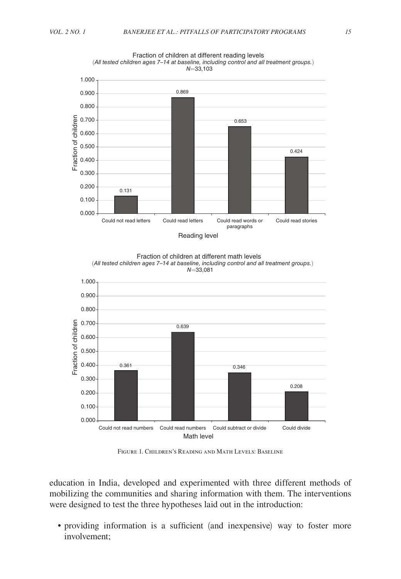

Fraction of children at different reading levels (*All tested children ages 7–14 at baseline, including control and all treatment groups.*)

(*All tested children ages 7–14 at baseline, including control and all treatment groups.*) Fraction of children at different math levels *N*=33,081



Figure 1. Children's Reading and Math Levels: Baseline

education in India, developed and experimented with three different methods of mobilizing the communities and sharing information with them. The interventions were designed to test the three hypotheses laid out in the introduction:

• providing information is a sufficient (and inexpensive) way to foster more involvement;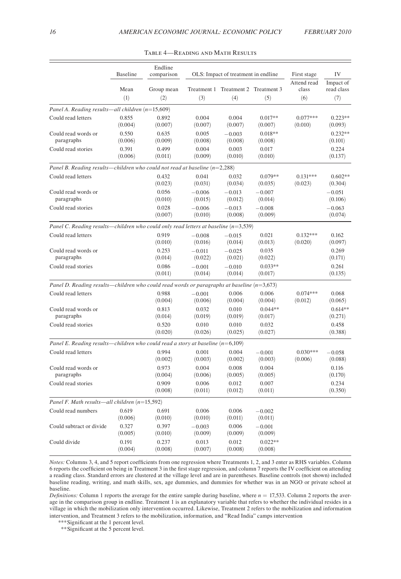|                                                                                              | Endline<br><b>Baseline</b><br>comparison |                   |                     | OLS: Impact of treatment in endline        | First stage          | IV                          |                                |
|----------------------------------------------------------------------------------------------|------------------------------------------|-------------------|---------------------|--------------------------------------------|----------------------|-----------------------------|--------------------------------|
|                                                                                              | Mean<br>(1)                              | Group mean<br>(2) | (3)                 | Treatment 1 Treatment 2 Treatment 3<br>(4) | (5)                  | Attend read<br>class<br>(6) | Impact of<br>read class<br>(7) |
| Panel A. Reading results—all children $(n=15,609)$                                           |                                          |                   |                     |                                            |                      |                             |                                |
| Could read letters                                                                           | 0.855<br>(0.004)                         | 0.892<br>(0.007)  | 0.004<br>(0.007)    | 0.004<br>(0.007)                           | $0.017**$<br>(0.007) | $0.077***$<br>(0.010)       | $0.223**$<br>(0.093)           |
| Could read words or<br>paragraphs                                                            | 0.550<br>(0.006)                         | 0.635<br>(0.009)  | 0.005<br>(0.008)    | $-0.003$<br>(0.008)                        | $0.018**$<br>(0.008) |                             | $0.232**$<br>(0.101)           |
| Could read stories                                                                           | 0.391<br>(0.006)                         | 0.499<br>(0.011)  | 0.004<br>(0.009)    | 0.003<br>(0.010)                           | 0.017<br>(0.010)     |                             | 0.224<br>(0.137)               |
| Panel B. Reading results—children who could not read at baseline $(n=2,288)$                 |                                          |                   |                     |                                            |                      |                             |                                |
| Could read letters                                                                           |                                          | 0.432<br>(0.023)  | 0.041<br>(0.031)    | 0.032<br>(0.034)                           | $0.079**$<br>(0.035) | $0.131***$<br>(0.023)       | $0.602**$<br>(0.304)           |
| Could read words or<br>paragraphs                                                            |                                          | 0.056<br>(0.010)  | $-0.006$<br>(0.015) | $-0.013$<br>(0.012)                        | $-0.007$<br>(0.014)  |                             | $-0.051$<br>(0.106)            |
| Could read stories                                                                           |                                          | 0.028<br>(0.007)  | $-0.006$<br>(0.010) | $-0.013$<br>(0.008)                        | $-0.008$<br>(0.009)  |                             | $-0.063$<br>(0.074)            |
| Panel C. Reading results—children who could only read letters at baseline $(n=3,539)$        |                                          |                   |                     |                                            |                      |                             |                                |
| Could read letters                                                                           |                                          | 0.919<br>(0.010)  | $-0.008$<br>(0.016) | $-0.015$<br>(0.014)                        | 0.021<br>(0.013)     | $0.132***$<br>(0.020)       | 0.162<br>(0.097)               |
| Could read words or<br>paragraphs                                                            |                                          | 0.253<br>(0.014)  | $-0.011$<br>(0.022) | $-0.025$<br>(0.021)                        | 0.035<br>(0.022)     |                             | 0.269<br>(0.171)               |
| Could read stories                                                                           |                                          | 0.086<br>(0.011)  | $-0.001$<br>(0.014) | $-0.010$<br>(0.014)                        | $0.033**$<br>(0.017) |                             | 0.261<br>(0.135)               |
| Panel D. Reading results—children who could read words or paragraphs at baseline $(n=3,673)$ |                                          |                   |                     |                                            |                      |                             |                                |
| Could read letters                                                                           |                                          | 0.988<br>(0.004)  | $-0.001$<br>(0.006) | 0.006<br>(0.004)                           | 0.006<br>(0.004)     | $0.074***$<br>(0.012)       | 0.068<br>(0.065)               |
| Could read words or<br>paragraphs                                                            |                                          | 0.813<br>(0.014)  | 0.032<br>(0.019)    | 0.010<br>(0.019)                           | $0.044**$<br>(0.017) |                             | $0.614**$<br>(0.271)           |
| Could read stories                                                                           |                                          | 0.520<br>(0.020)  | 0.010<br>(0.026)    | 0.010<br>(0.025)                           | 0.032<br>(0.027)     |                             | 0.458<br>(0.388)               |
| Panel E. Reading results—children who could read a story at baseline $(n=6,109)$             |                                          |                   |                     |                                            |                      |                             |                                |
| Could read letters                                                                           |                                          | 0.994<br>(0.002)  | 0.001<br>(0.003)    | 0.004<br>(0.002)                           | $-0.001$<br>(0.003)  | $0.030***$<br>(0.006)       | $-0.058$<br>(0.088)            |
| Could read words or<br>paragraphs                                                            |                                          | 0.973<br>(0.004)  | 0.004<br>(0.006)    | 0.008<br>(0.005)                           | 0.004<br>(0.005)     |                             | 0.116<br>(0.170)               |
| Could read stories                                                                           |                                          | 0.909<br>(0.008)  | 0.006<br>(0.011)    | 0.012<br>(0.012)                           | 0.007<br>(0.011)     |                             | 0.234<br>(0.350)               |
| Panel F. Math results—all children (n=15,592)                                                |                                          |                   |                     |                                            |                      |                             |                                |
| Could read numbers                                                                           | 0.619<br>(0.006)                         | 0.691<br>(0.010)  | 0.006<br>(0.010)    | 0.006<br>(0.011)                           | $-0.002$<br>(0.011)  |                             |                                |
| Could subtract or divide                                                                     | 0.327<br>(0.005)                         | 0.397<br>(0.010)  | $-0.003$<br>(0.009) | 0.006<br>(0.009)                           | $-0.001$<br>(0.009)  |                             |                                |
| Could divide                                                                                 | 0.191<br>(0.004)                         | 0.237<br>(0.008)  | 0.013<br>(0.007)    | 0.012<br>(0.008)                           | $0.022**$<br>(0.008) |                             |                                |

Table 4—Reading and Math Results

*Notes:* Columns 3, 4, and 5 report coefficients from one regression where Treatments 1, 2, and 3 enter as RHS variables. Column 6 reports the coefficient on being in Treatment 3 in the first stage regression, and column 7 reports the IV coefficient on attending a reading class. Standard errors are clustered at the village level and are in parentheses. Baseline controls (not shown) included baseline reading, writing, and math skills, sex, age dummies, and dummies for whether was in an NGO or private school at baseline.

*Definitions:* Column 1 reports the average for the entire sample during baseline, where  $n = 17,533$ . Column 2 reports the average in the comparison group in endline. Treatment 1 is an explanatory variable that refers to whether the individual resides in a village in which the mobilization only intervention occurred. Likewise, Treatment 2 refers to the mobilization and information intervention, and Treatment 3 refers to the mobilization, information, and "Read India" camps intervention

*\*\*\**Significant at the 1 percent level.

*\*\**Significant at the 5 percent level.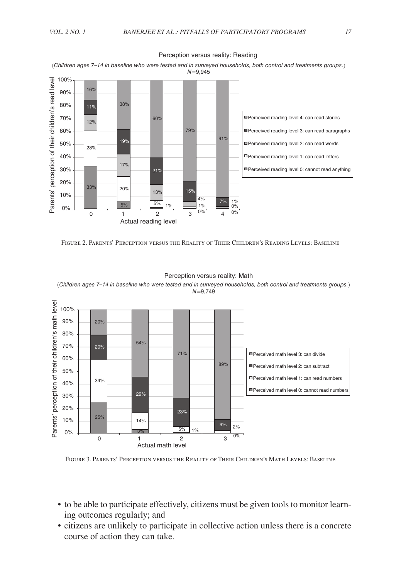

#### Perception versus reality: Reading





Perception versus reality: Math

(*Children ages 7–14 in baseline who were tested and in surveyed households, both control and treatments groups.*) *N*=9,749

Figure 3. Parents' Perception versus the Reality of Their Children's Math Levels: Baseline

- to be able to participate effectively, citizens must be given tools to monitor learning outcomes regularly; and
- citizens are unlikely to participate in collective action unless there is a concrete course of action they can take.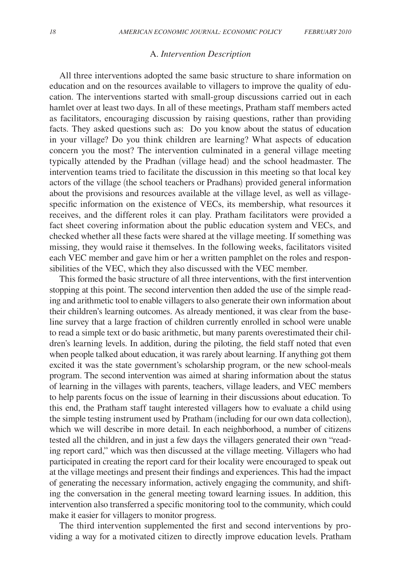#### A. *Intervention Description*

<span id="page-17-0"></span>All three interventions adopted the same basic structure to share information on education and on the resources available to villagers to improve the quality of education. The interventions started with small-group discussions carried out in each hamlet over at least two days. In all of these meetings, Pratham staff members acted as facilitators, encouraging discussion by raising questions, rather than providing facts. They asked questions such as: Do you know about the status of education in your village? Do you think children are learning? What aspects of education concern you the most? The intervention culminated in a general village meeting typically attended by the Pradhan (village head) and the school headmaster. The intervention teams tried to facilitate the discussion in this meeting so that local key actors of the village (the school teachers or Pradhans) provided general information about the provisions and resources available at the village level, as well as villagespecific information on the existence of VECs, its membership, what resources it receives, and the different roles it can play. Pratham facilitators were provided a fact sheet covering information about the public education system and VECs, and checked whether all these facts were shared at the village meeting. If something was missing, they would raise it themselves. In the following weeks, facilitators visited each VEC member and gave him or her a written pamphlet on the roles and responsibilities of the VEC, which they also discussed with the VEC member.

This formed the basic structure of all three interventions, with the first intervention stopping at this point. The second intervention then added the use of the simple reading and arithmetic tool to enable villagers to also generate their own information about their children's learning outcomes. As already mentioned, it was clear from the baseline survey that a large fraction of children currently enrolled in school were unable to read a simple text or do basic arithmetic, but many parents overestimated their children's learning levels. In addition, during the piloting, the field staff noted that even when people talked about education, it was rarely about learning. If anything got them excited it was the state government's scholarship program, or the new school-meals program. The second intervention was aimed at sharing information about the status of learning in the villages with parents, teachers, village leaders, and VEC members to help parents focus on the issue of learning in their discussions about education. To this end, the Pratham staff taught interested villagers how to evaluate a child using the simple testing instrument used by Pratham (including for our own data collection), which we will describe in more detail. In each neighborhood, a number of citizens tested all the children, and in just a few days the villagers generated their own "reading report card," which was then discussed at the village meeting. Villagers who had participated in creating the report card for their locality were encouraged to speak out at the village meetings and present their findings and experiences. This had the impact of generating the necessary information, actively engaging the community, and shifting the conversation in the general meeting toward learning issues. In addition, this intervention also transferred a specific monitoring tool to the community, which could make it easier for villagers to monitor progress.

The third intervention supplemented the first and second interventions by providing a way for a motivated citizen to directly improve education levels. Pratham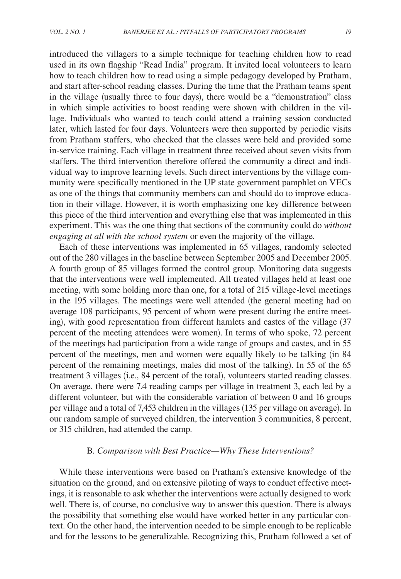<span id="page-18-0"></span>introduced the villagers to a simple technique for teaching children how to read used in its own flagship "Read India" program. It invited local volunteers to learn how to teach children how to read using a simple pedagogy developed by Pratham, and start after-school reading classes. During the time that the Pratham teams spent in the village (usually three to four days), there would be a "demonstration" class in which simple activities to boost reading were shown with children in the village. Individuals who wanted to teach could attend a training session conducted later, which lasted for four days. Volunteers were then supported by periodic visits from Pratham staffers, who checked that the classes were held and provided some in-service training. Each village in treatment three received about seven visits from staffers. The third intervention therefore offered the community a direct and individual way to improve learning levels. Such direct interventions by the village community were specifically mentioned in the UP state government pamphlet on VECs as one of the things that community members can and should do to improve education in their village. However, it is worth emphasizing one key difference between this piece of the third intervention and everything else that was implemented in this experiment. This was the one thing that sections of the community could do *without engaging at all with the school system* or even the majority of the village.

Each of these interventions was implemented in 65 villages, randomly selected out of the 280 villages in the baseline between September 2005 and December 2005. A fourth group of 85 villages formed the control group. Monitoring data suggests that the interventions were well implemented. All treated villages held at least one meeting, with some holding more than one, for a total of 215 village-level meetings in the 195 villages. The meetings were well attended (the general meeting had on average 108 participants, 95 percent of whom were present during the entire meeting), with good representation from different hamlets and castes of the village (37 percent of the meeting attendees were women). In terms of who spoke, 72 percent of the meetings had participation from a wide range of groups and castes, and in 55 percent of the meetings, men and women were equally likely to be talking (in 84 percent of the remaining meetings, males did most of the talking). In 55 of the 65 treatment 3 villages (i.e., 84 percent of the total), volunteers started reading classes. On average, there were 7.4 reading camps per village in treatment 3, each led by a different volunteer, but with the considerable variation of between 0 and 16 groups per village and a total of 7,453 children in the villages (135 per village on average). In our random sample of surveyed children, the intervention 3 communities, 8 percent, or 315 children, had attended the camp.

#### B. *Comparison with Best Practice—Why These Interventions?*

While these interventions were based on Pratham's extensive knowledge of the situation on the ground, and on extensive piloting of ways to conduct effective meetings, it is reasonable to ask whether the interventions were actually designed to work well. There is, of course, no conclusive way to answer this question. There is always the possibility that something else would have worked better in any particular context. On the other hand, the intervention needed to be simple enough to be replicable and for the lessons to be generalizable. Recognizing this, Pratham followed a set of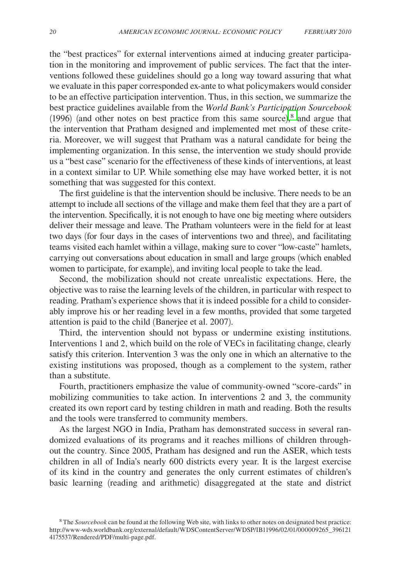the "best practices" for external interventions aimed at inducing greater participation in the monitoring and improvement of public services. The fact that the interventions followed these guidelines should go a long way toward assuring that what we evaluate in this paper corresponded ex-ante to what policymakers would consider to be an effective participation intervention. Thus, in this section, we summarize the best practice guidelines available from the *World Bank's Participation Sourcebook* (1996) (and other notes on best practice from this same source), 8 and argue that the intervention that Pratham designed and implemented met most of these criteria. Moreover, we will suggest that Pratham was a natural candidate for being the implementing organization. In this sense, the intervention we study should provide us a "best case" scenario for the effectiveness of these kinds of interventions, at least in a context similar to UP. While something else may have worked better, it is not something that was suggested for this context.

The first guideline is that the intervention should be inclusive. There needs to be an attempt to include all sections of the village and make them feel that they are a part of the intervention. Specifically, it is not enough to have one big meeting where outsiders deliver their message and leave. The Pratham volunteers were in the field for at least two days (for four days in the cases of interventions two and three), and facilitating teams visited each hamlet within a village, making sure to cover "low-caste" hamlets, carrying out conversations about education in small and large groups (which enabled women to participate, for example), and inviting local people to take the lead.

Second, the mobilization should not create unrealistic expectations. Here, the objective was to raise the learning levels of the children, in particular with respect to reading. Pratham's experience shows that it is indeed possible for a child to considerably improve his or her reading level in a few months, provided that some targeted attention is paid to the child (Banerjee et al. 2007).

Third, the intervention should not bypass or undermine existing institutions. Interventions 1 and 2, which build on the role of VECs in facilitating change, clearly satisfy this criterion. Intervention 3 was the only one in which an alternative to the existing institutions was proposed, though as a complement to the system, rather than a substitute.

Fourth, practitioners emphasize the value of community-owned "score-cards" in mobilizing communities to take action. In interventions 2 and 3, the community created its own report card by testing children in math and reading. Both the results and the tools were transferred to community members.

As the largest NGO in India, Pratham has demonstrated success in several randomized evaluations of its programs and it reaches millions of children throughout the country. Since 2005, Pratham has designed and run the ASER, which tests children in all of India's nearly 600 districts every year. It is the largest exercise of its kind in the country and generates the only current estimates of children's basic learning (reading and arithmetic) disaggregated at the state and district

<sup>8</sup> The *Sourcebook* can be found at the following Web site, with links to other notes on designated best practice: http://www-wds.worldbank.org/external/default/WDSContentServer/WDSP/IB11996/02/01/000009265\_396121 4175537/Rendered/PDF/multi-page.pdf.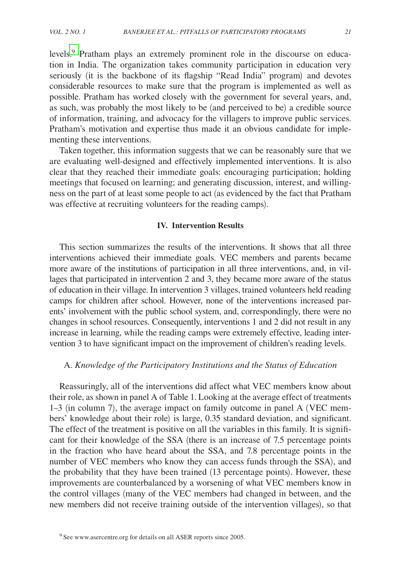<span id="page-20-0"></span>levels.<sup>9</sup> Pratham plays an extremely prominent role in the discourse on education in India. The organization takes community participation in education very seriously (it is the backbone of its flagship "Read India" program) and devotes considerable resources to make sure that the program is implemented as well as possible. Pratham has worked closely with the government for several years, and, as such, was probably the most likely to be (and perceived to be) a credible source of information, training, and advocacy for the villagers to improve public services. Pratham's motivation and expertise thus made it an obvious candidate for implementing these interventions.

Taken together, this information suggests that we can be reasonably sure that we are evaluating well-designed and effectively implemented interventions. It is also clear that they reached their immediate goals: encouraging participation; holding meetings that focused on learning; and generating discussion, interest, and willingness on the part of at least some people to act (as evidenced by the fact that Pratham was effective at recruiting volunteers for the reading camps).

#### **IV. Intervention Results**

This section summarizes the results of the interventions. It shows that all three interventions achieved their immediate goals. VEC members and parents became more aware of the institutions of participation in all three interventions, and, in villages that participated in intervention 2 and 3, they became more aware of the status of education in their village. In intervention 3 villages, trained volunteers held reading camps for children after school. However, none of the interventions increased parents' involvement with the public school system, and, correspondingly, there were no changes in school resources. Consequently, interventions 1 and 2 did not result in any increase in learning, while the reading camps were extremely effective, leading intervention 3 to have significant impact on the improvement of children's reading levels.

#### A. *Knowledge of the Participatory Institutions and the Status of Education*

Reassuringly, all of the interventions did affect what VEC members know about their role, as shown in panel A of Table 1. Looking at the average effect of treatments 1–3 (in column 7), the average impact on family outcome in panel A (VEC members' knowledge about their role) is large, 0.35 standard deviation, and significant. The effect of the treatment is positive on all the variables in this family. It is significant for their knowledge of the SSA (there is an increase of 7.5 percentage points in the fraction who have heard about the SSA, and 7.8 percentage points in the number of VEC members who know they can access funds through the SSA), and the probability that they have been trained (13 percentage points). However, these improvements are counterbalanced by a worsening of what VEC members know in the control villages (many of the VEC members had changed in between, and the new members did not receive training outside of the intervention villages), so that

<sup>9</sup> See www.asercentre.org for details on all ASER reports since 2005.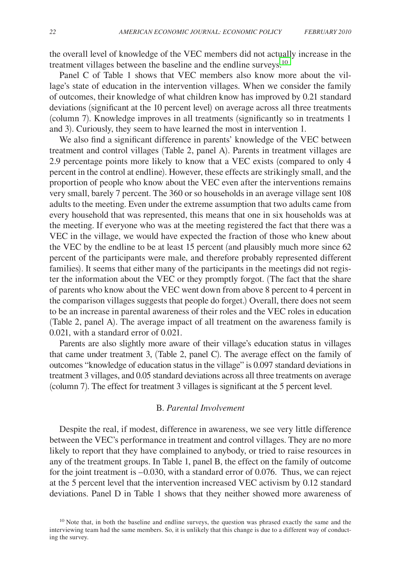<span id="page-21-0"></span>the overall level of knowledge of the VEC members did not actually increase in the treatment villages between the baseline and the endline surveys.<sup>10</sup>

Panel C of Table 1 shows that VEC members also know more about the village's state of education in the intervention villages. When we consider the family of outcomes, their knowledge of what children know has improved by 0.21 standard deviations (significant at the 10 percent level) on average across all three treatments (column 7). Knowledge improves in all treatments (significantly so in treatments 1 and 3). Curiously, they seem to have learned the most in intervention 1.

We also find a significant difference in parents' knowledge of the VEC between treatment and control villages (Table 2, panel A). Parents in treatment villages are 2.9 percentage points more likely to know that a VEC exists (compared to only 4 percent in the control at endline). However, these effects are strikingly small, and the proportion of people who know about the VEC even after the interventions remains very small, barely 7 percent. The 360 or so households in an average village sent 108 adults to the meeting. Even under the extreme assumption that two adults came from every household that was represented, this means that one in six households was at the meeting. If everyone who was at the meeting registered the fact that there was a VEC in the village, we would have expected the fraction of those who knew about the VEC by the endline to be at least 15 percent (and plausibly much more since 62 percent of the participants were male, and therefore probably represented different families). It seems that either many of the participants in the meetings did not register the information about the VEC or they promptly forgot. (The fact that the share of parents who know about the VEC went down from above 8 percent to 4 percent in the comparison villages suggests that people do forget.) Overall, there does not seem to be an increase in parental awareness of their roles and the VEC roles in education (Table 2, panel A). The average impact of all treatment on the awareness family is 0.021, with a standard error of 0.021.

Parents are also slightly more aware of their village's education status in villages that came under treatment 3, (Table 2, panel C). The average effect on the family of outcomes "knowledge of education status in the village" is 0.097 standard deviations in treatment 3 villages, and 0.05 standard deviations across all three treatments on average (column 7). The effect for treatment 3 villages is significant at the 5 percent level.

# B. *Parental Involvement*

Despite the real, if modest, difference in awareness, we see very little difference between the VEC's performance in treatment and control villages. They are no more likely to report that they have complained to anybody, or tried to raise resources in any of the treatment groups. In Table 1, panel B, the effect on the family of outcome for the joint treatment is –0.030, with a standard error of 0.076. Thus, we can reject at the 5 percent level that the intervention increased VEC activism by 0.12 standard deviations. Panel D in Table 1 shows that they neither showed more awareness of

<sup>&</sup>lt;sup>10</sup> Note that, in both the baseline and endline surveys, the question was phrased exactly the same and the interviewing team had the same members. So, it is unlikely that this change is due to a different way of conducting the survey.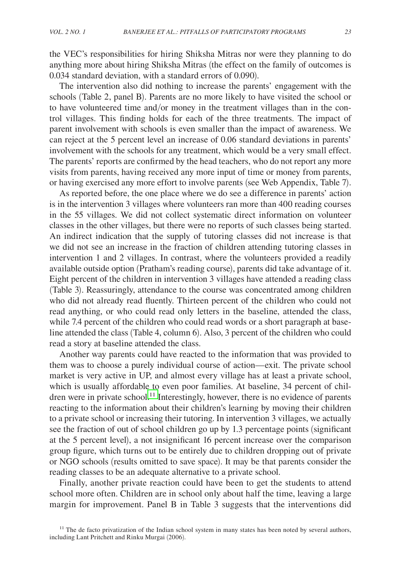the VEC's responsibilities for hiring Shiksha Mitras nor were they planning to do anything more about hiring Shiksha Mitras (the effect on the family of outcomes is 0.034 standard deviation, with a standard errors of 0.090).

The intervention also did nothing to increase the parents' engagement with the schools (Table 2, panel B). Parents are no more likely to have visited the school or to have volunteered time and/or money in the treatment villages than in the control villages. This finding holds for each of the three treatments. The impact of parent involvement with schools is even smaller than the impact of awareness. We can reject at the 5 percent level an increase of 0.06 standard deviations in parents' involvement with the schools for any treatment, which would be a very small effect. The parents' reports are confirmed by the head teachers, who do not report any more visits from parents, having received any more input of time or money from parents, or having exercised any more effort to involve parents (see Web Appendix, Table 7).

As reported before, the one place where we do see a difference in parents' action is in the intervention 3 villages where volunteers ran more than 400 reading courses in the 55 villages. We did not collect systematic direct information on volunteer classes in the other villages, but there were no reports of such classes being started. An indirect indication that the supply of tutoring classes did not increase is that we did not see an increase in the fraction of children attending tutoring classes in intervention 1 and 2 villages. In contrast, where the volunteers provided a readily available outside option (Pratham's reading course), parents did take advantage of it. Eight percent of the children in intervention 3 villages have attended a reading class (Table 3). Reassuringly, attendance to the course was concentrated among children who did not already read fluently. Thirteen percent of the children who could not read anything, or who could read only letters in the baseline, attended the class, while 7.4 percent of the children who could read words or a short paragraph at baseline attended the class (Table 4, column 6). Also, 3 percent of the children who could read a story at baseline attended the class.

Another way parents could have reacted to the information that was provided to them was to choose a purely individual course of action—exit. The private school market is very active in UP, and almost every village has at least a private school, which is usually affordable to even poor families. At baseline, 34 percent of children were in private school.<sup>11</sup> Interestingly, however, there is no evidence of parents reacting to the information about their children's learning by moving their children to a private school or increasing their tutoring. In intervention 3 villages, we actually see the fraction of out of school children go up by 1.3 percentage points (significant at the 5 percent level), a not insignificant 16 percent increase over the comparison group figure, which turns out to be entirely due to children dropping out of private or NGO schools (results omitted to save space). It may be that parents consider the reading classes to be an adequate alternative to a private school.

Finally, another private reaction could have been to get the students to attend school more often. Children are in school only about half the time, leaving a large margin for improvement. Panel B in Table 3 suggests that the interventions did

<sup>&</sup>lt;sup>11</sup> The de facto privatization of the Indian school system in many states has been noted by several authors, including Lant Pritchett and Rinku Murgai (2006).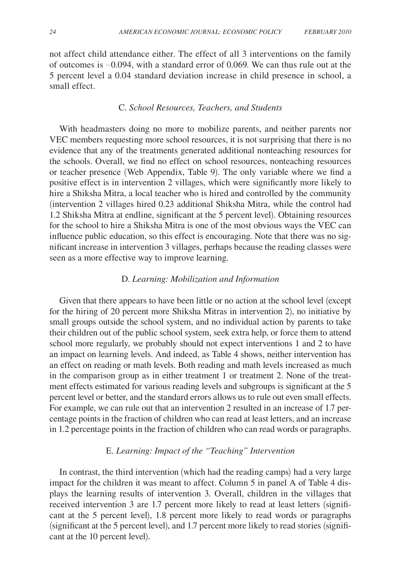<span id="page-23-0"></span>not affect child attendance either. The effect of all 3 interventions on the family of outcomes is  $-0.094$ , with a standard error of 0.069. We can thus rule out at the 5 percent level a 0.04 standard deviation increase in child presence in school, a small effect.

# C. *School Resources, Teachers, and Students*

With headmasters doing no more to mobilize parents, and neither parents nor VEC members requesting more school resources, it is not surprising that there is no evidence that any of the treatments generated additional nonteaching resources for the schools. Overall, we find no effect on school resources, nonteaching resources or teacher presence (Web Appendix, Table 9). The only variable where we find a positive effect is in intervention 2 villages, which were significantly more likely to hire a Shiksha Mitra, a local teacher who is hired and controlled by the community (intervention 2 villages hired 0.23 additional Shiksha Mitra, while the control had 1.2 Shiksha Mitra at endline, significant at the 5 percent level). Obtaining resources for the school to hire a Shiksha Mitra is one of the most obvious ways the VEC can influence public education, so this effect is encouraging. Note that there was no significant increase in intervention 3 villages, perhaps because the reading classes were seen as a more effective way to improve learning.

### D. *Learning: Mobilization and Information*

Given that there appears to have been little or no action at the school level (except for the hiring of 20 percent more Shiksha Mitras in intervention 2), no initiative by small groups outside the school system, and no individual action by parents to take their children out of the public school system, seek extra help, or force them to attend school more regularly, we probably should not expect interventions 1 and 2 to have an impact on learning levels. And indeed, as Table 4 shows, neither intervention has an effect on reading or math levels. Both reading and math levels increased as much in the comparison group as in either treatment 1 or treatment 2. None of the treatment effects estimated for various reading levels and subgroups is significant at the 5 percent level or better, and the standard errors allows us to rule out even small effects. For example, we can rule out that an intervention 2 resulted in an increase of 1.7 percentage points in the fraction of children who can read at least letters, and an increase in 1.2 percentage points in the fraction of children who can read words or paragraphs.

# E. *Learning: Impact of the "Teaching" Intervention*

In contrast, the third intervention (which had the reading camps) had a very large impact for the children it was meant to affect. Column 5 in panel A of Table 4 displays the learning results of intervention 3. Overall, children in the villages that received intervention 3 are 1.7 percent more likely to read at least letters (significant at the 5 percent level), 1.8 percent more likely to read words or paragraphs (significant at the 5 percent level), and 1.7 percent more likely to read stories (significant at the 10 percent level).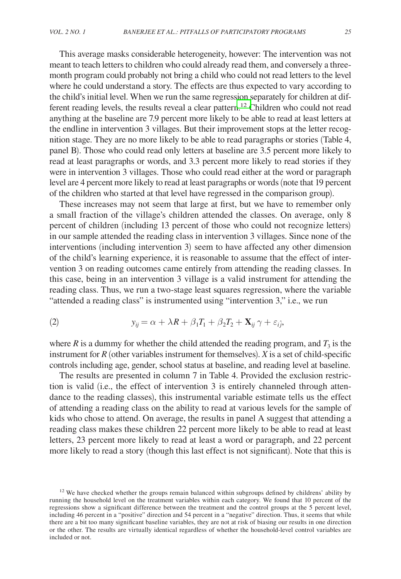This average masks considerable heterogeneity, however: The intervention was not meant to teach letters to children who could already read them, and conversely a threemonth program could probably not bring a child who could not read letters to the level where he could understand a story. The effects are thus expected to vary according to the child's initial level. When we run the same regression separately for children at different reading levels, the results reveal a clear pattern.<sup>12</sup> Children who could not read anything at the baseline are 7.9 percent more likely to be able to read at least letters at the endline in intervention 3 villages. But their improvement stops at the letter recognition stage. They are no more likely to be able to read paragraphs or stories (Table 4, panel B). Those who could read only letters at baseline are 3.5 percent more likely to read at least paragraphs or words, and 3.3 percent more likely to read stories if they were in intervention 3 villages. Those who could read either at the word or paragraph level are 4 percent more likely to read at least paragraphs or words (note that 19 percent of the children who started at that level have regressed in the comparison group).

These increases may not seem that large at first, but we have to remember only a small fraction of the village's children attended the classes. On average, only 8 percent of children (including 13 percent of those who could not recognize letters) in our sample attended the reading class in intervention 3 villages. Since none of the interventions (including intervention 3) seem to have affected any other dimension of the child's learning experience, it is reasonable to assume that the effect of intervention 3 on reading outcomes came entirely from attending the reading classes. In this case, being in an intervention 3 village is a valid instrument for attending the reading class. Thus, we run a two-stage least squares regression, where the variable "attended a reading class" is instrumented using "intervention 3," i.e., we run

(2) 
$$
y_{ij} = \alpha + \lambda R + \beta_1 T_1 + \beta_2 T_2 + \mathbf{X}_{ij} \gamma + \varepsilon_{ij},
$$

where  $R$  is a dummy for whether the child attended the reading program, and  $T_3$  is the instrument for *R* (other variables instrument for themselves). *X* is a set of child-specific controls including age, gender, school status at baseline, and reading level at baseline.

The results are presented in column 7 in Table 4. Provided the exclusion restriction is valid (i.e., the effect of intervention 3 is entirely channeled through attendance to the reading classes), this instrumental variable estimate tells us the effect of attending a reading class on the ability to read at various levels for the sample of kids who chose to attend. On average, the results in panel A suggest that attending a reading class makes these children 22 percent more likely to be able to read at least letters, 23 percent more likely to read at least a word or paragraph, and 22 percent more likely to read a story (though this last effect is not significant). Note that this is

 $12$  We have checked whether the groups remain balanced within subgroups defined by childrens' ability by running the household level on the treatment variables within each category. We found that 10 percent of the regressions show a significant difference between the treatment and the control groups at the 5 percent level, including 46 percent in a "positive" direction and 54 percent in a "negative" direction. Thus, it seems that while there are a bit too many significant baseline variables, they are not at risk of biasing our results in one direction or the other. The results are virtually identical regardless of whether the household-level control variables are included or not.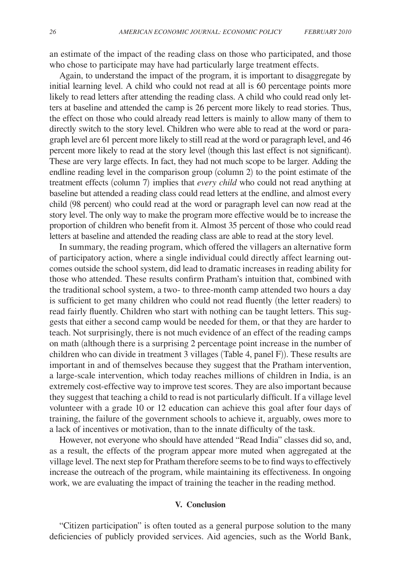<span id="page-25-0"></span>an estimate of the impact of the reading class on those who participated, and those who chose to participate may have had particularly large treatment effects.

Again, to understand the impact of the program, it is important to disaggregate by initial learning level. A child who could not read at all is 60 percentage points more likely to read letters after attending the reading class. A child who could read only letters at baseline and attended the camp is 26 percent more likely to read stories. Thus, the effect on those who could already read letters is mainly to allow many of them to directly switch to the story level. Children who were able to read at the word or paragraph level are 61 percent more likely to still read at the word or paragraph level, and 46 percent more likely to read at the story level (though this last effect is not significant). These are very large effects. In fact, they had not much scope to be larger. Adding the endline reading level in the comparison group (column 2) to the point estimate of the treatment effects (column 7) implies that *every child* who could not read anything at baseline but attended a reading class could read letters at the endline, and almost every child (98 percent) who could read at the word or paragraph level can now read at the story level. The only way to make the program more effective would be to increase the proportion of children who benefit from it. Almost 35 percent of those who could read letters at baseline and attended the reading class are able to read at the story level.

In summary, the reading program, which offered the villagers an alternative form of participatory action, where a single individual could directly affect learning outcomes outside the school system, did lead to dramatic increases in reading ability for those who attended. These results confirm Pratham's intuition that, combined with the traditional school system, a two- to three-month camp attended two hours a day is sufficient to get many children who could not read fluently (the letter readers) to read fairly fluently. Children who start with nothing can be taught letters. This suggests that either a second camp would be needed for them, or that they are harder to teach. Not surprisingly, there is not much evidence of an effect of the reading camps on math (although there is a surprising 2 percentage point increase in the number of children who can divide in treatment 3 villages (Table 4, panel F)). These results are important in and of themselves because they suggest that the Pratham intervention, a large-scale intervention, which today reaches millions of children in India, is an extremely cost-effective way to improve test scores. They are also important because they suggest that teaching a child to read is not particularly difficult. If a village level volunteer with a grade 10 or 12 education can achieve this goal after four days of training, the failure of the government schools to achieve it, arguably, owes more to a lack of incentives or motivation, than to the innate difficulty of the task.

However, not everyone who should have attended "Read India" classes did so, and, as a result, the effects of the program appear more muted when aggregated at the village level. The next step for Pratham therefore seems to be to find ways to effectively increase the outreach of the program, while maintaining its effectiveness. In ongoing work, we are evaluating the impact of training the teacher in the reading method.

#### **V. Conclusion**

"Citizen participation" is often touted as a general purpose solution to the many deficiencies of publicly provided services. Aid agencies, such as the World Bank,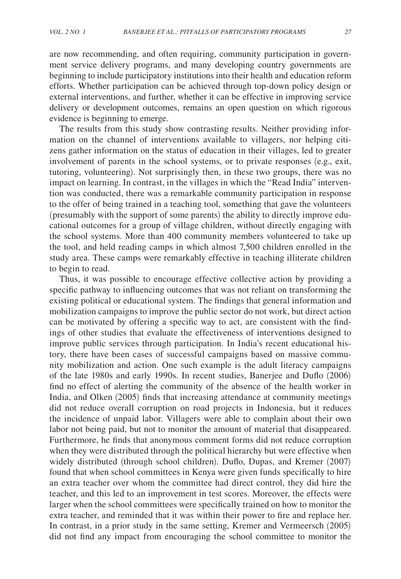are now recommending, and often requiring, community participation in government service delivery programs, and many developing country governments are beginning to include participatory institutions into their health and education reform efforts. Whether participation can be achieved through top-down policy design or external interventions, and further, whether it can be effective in improving service delivery or development outcomes, remains an open question on which rigorous evidence is beginning to emerge.

The results from this study show contrasting results. Neither providing information on the channel of interventions available to villagers, nor helping citizens gather information on the status of education in their villages, led to greater involvement of parents in the school systems, or to private responses (e.g., exit, tutoring, volunteering). Not surprisingly then, in these two groups, there was no impact on learning. In contrast, in the villages in which the "Read India" intervention was conducted, there was a remarkable community participation in response to the offer of being trained in a teaching tool, something that gave the volunteers (presumably with the support of some parents) the ability to directly improve educational outcomes for a group of village children, without directly engaging with the school systems. More than 400 community members volunteered to take up the tool, and held reading camps in which almost 7,500 children enrolled in the study area. These camps were remarkably effective in teaching illiterate children to begin to read.

Thus, it was possible to encourage effective collective action by providing a specific pathway to influencing outcomes that was not reliant on transforming the existing political or educational system. The findings that general information and mobilization campaigns to improve the public sector do not work, but direct action can be motivated by offering a specific way to act, are consistent with the findings of other studies that evaluate the effectiveness of interventions designed to improve public services through participation. In India's recent educational history, there have been cases of successful campaigns based on massive community mobilization and action. One such example is the adult literacy campaigns of the late 1980s and early 1990s. In recent studies, Banerjee and Duflo (2006) find no effect of alerting the community of the absence of the health worker in India, and Olken (2005) finds that increasing attendance at community meetings did not reduce overall corruption on road projects in Indonesia, but it reduces the incidence of unpaid labor. Villagers were able to complain about their own labor not being paid, but not to monitor the amount of material that disappeared. Furthermore, he finds that anonymous comment forms did not reduce corruption when they were distributed through the political hierarchy but were effective when widely distributed (through school children). Duflo, Dupas, and Kremer (2007) found that when school committees in Kenya were given funds specifically to hire an extra teacher over whom the committee had direct control, they did hire the teacher, and this led to an improvement in test scores. Moreover, the effects were larger when the school committees were specifically trained on how to monitor the extra teacher, and reminded that it was within their power to fire and replace her. In contrast, in a prior study in the same setting, Kremer and Vermeersch (2005) did not find any impact from encouraging the school committee to monitor the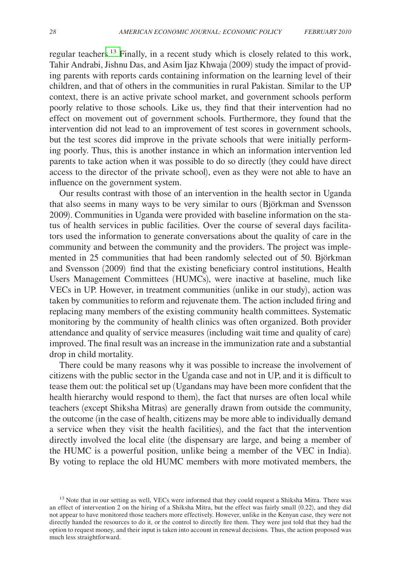regular teachers.13 Finally, in a recent study which is closely related to this work, Tahir Andrabi, Jishnu Das, and Asim Ijaz Khwaja (2009) study the impact of providing parents with reports cards containing information on the learning level of their children, and that of others in the communities in rural Pakistan. Similar to the UP context, there is an active private school market, and government schools perform poorly relative to those schools. Like us, they find that their intervention had no effect on movement out of government schools. Furthermore, they found that the intervention did not lead to an improvement of test scores in government schools, but the test scores did improve in the private schools that were initially performing poorly. Thus, this is another instance in which an information intervention led parents to take action when it was possible to do so directly (they could have direct access to the director of the private school), even as they were not able to have an influence on the government system.

Our results contrast with those of an intervention in the health sector in Uganda that also seems in many ways to be very similar to ours (Björkman and Svensson 2009). Communities in Uganda were provided with baseline information on the status of health services in public facilities. Over the course of several days facilitators used the information to generate conversations about the quality of care in the community and between the community and the providers. The project was implemented in 25 communities that had been randomly selected out of 50. Björkman and Svensson (2009) find that the existing beneficiary control institutions, Health Users Management Committees (HUMCs), were inactive at baseline, much like VECs in UP. However, in treatment communities (unlike in our study), action was taken by communities to reform and rejuvenate them. The action included firing and replacing many members of the existing community health committees. Systematic monitoring by the community of health clinics was often organized. Both provider attendance and quality of service measures (including wait time and quality of care) improved. The final result was an increase in the immunization rate and a substantial drop in child mortality.

There could be many reasons why it was possible to increase the involvement of citizens with the public sector in the Uganda case and not in UP, and it is difficult to tease them out: the political set up (Ugandans may have been more confident that the health hierarchy would respond to them), the fact that nurses are often local while teachers (except Shiksha Mitras) are generally drawn from outside the community, the outcome (in the case of health, citizens may be more able to individually demand a service when they visit the health facilities), and the fact that the intervention directly involved the local elite (the dispensary are large, and being a member of the HUMC is a powerful position, unlike being a member of the VEC in India). By voting to replace the old HUMC members with more motivated members, the

<sup>&</sup>lt;sup>13</sup> Note that in our setting as well, VECs were informed that they could request a Shiksha Mitra. There was an effect of intervention 2 on the hiring of a Shiksha Mitra, but the effect was fairly small (0.22), and they did not appear to have monitored those teachers more effectively. However, unlike in the Kenyan case, they were not directly handed the resources to do it, or the control to directly fire them. They were just told that they had the option to request money, and their input is taken into account in renewal decisions. Thus, the action proposed was much less straightforward.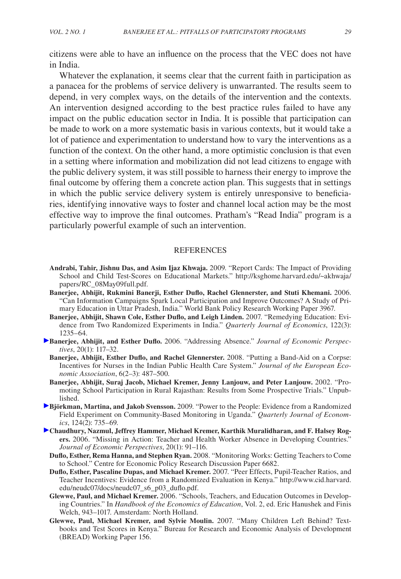<span id="page-28-0"></span>citizens were able to have an influence on the process that the VEC does not have in India.

Whatever the explanation, it seems clear that the current faith in participation as a panacea for the problems of service delivery is unwarranted. The results seem to depend, in very complex ways, on the details of the intervention and the contexts. An intervention designed according to the best practice rules failed to have any impact on the public education sector in India. It is possible that participation can be made to work on a more systematic basis in various contexts, but it would take a lot of patience and experimentation to understand how to vary the interventions as a function of the context. On the other hand, a more optimistic conclusion is that even in a setting where information and mobilization did not lead citizens to engage with the public delivery system, it was still possible to harness their energy to improve the final outcome by offering them a concrete action plan. This suggests that in settings in which the public service delivery system is entirely unresponsive to beneficiaries, identifying innovative ways to foster and channel local action may be the most effective way to improve the final outcomes. Pratham's "Read India" program is a particularly powerful example of such an intervention.

#### **REFERENCES**

- **Andrabi, Tahir, Jishnu Das, and Asim Ijaz Khwaja.** 2009. "Report Cards: The Impact of Providing School and Child Test-Scores on Educational Markets." http://ksghome.harvard.edu/~akhwaja/ papers/RC\_08May09full.pdf.
- **Banerjee, Abhijit, Rukmini Banerji, Esther Duflo, Rachel Glennerster, and Stuti Khemani.** 2006. "Can Information Campaigns Spark Local Participation and Improve Outcomes? A Study of Primary Education in Uttar Pradesh, India." World Bank Policy Research Working Paper 3967.
- **Banerjee, Abhijit, Shawn Cole, Esther Duflo, and Leigh Linden.** 2007. "Remedying Education: Evidence from Two Randomized Experiments in India." *Quarterly Journal of Economics*, 122(3): 1235–64.
- **Banerjee, Abhijit, and Esther Duflo.** 2006. "Addressing Absence." *Journal of Economic Perspectives*, 20(1): 117–32.
	- **Banerjee, Abhijit, Esther Duflo, and Rachel Glennerster.** 2008. "Putting a Band-Aid on a Corpse: Incentives for Nurses in the Indian Public Health Care System." *Journal of the European Economic Association*, 6(2–3): 487–500.
	- **Banerjee, Abhijit, Suraj Jacob, Michael Kremer, Jenny Lanjouw, and Peter Lanjouw.** 2002. "Promoting School Participation in Rural Rajasthan: Results from Some Prospective Trials." Unpublished.
- **Björkman, Martina, and Jakob Svensson.** 2009. "Power to the People: Evidence from a Randomized Field Experiment on Community-Based Monitoring in Uganda." *Quarterly Journal of Economics*, 124(2): 735–69.
- **Chaudhury, Nazmul, Jeffrey Hammer, Michael Kremer, Karthik Muralidharan, and F. Halsey Rogers.** 2006. "Missing in Action: Teacher and Health Worker Absence in Developing Countries." *Journal of Economic Perspectives*, 20(1): 91–116.
	- **Duflo, Esther, Rema Hanna, and Stephen Ryan.** 2008. "Monitoring Works: Getting Teachers to Come to School." Centre for Economic Policy Research Discussion Paper 6682.
	- **Duflo, Esther, Pascaline Dupas, and Michael Kremer.** 2007. "Peer Effects, Pupil-Teacher Ratios, and Teacher Incentives: Evidence from a Randomized Evaluation in Kenya." http://www.cid.harvard. edu/neudc07/docs/neudc07\_s6\_p03\_duflo.pdf.
	- **Glewwe, Paul, and Michael Kremer.** 2006. "Schools, Teachers, and Education Outcomes in Developing Countries." In *Handbook of the Economics of Education*, Vol. 2, ed. Eric Hanushek and Finis Welch, 943–1017. Amsterdam: North Holland.
	- **Glewwe, Paul, Michael Kremer, and Sylvie Moulin.** 2007. "Many Children Left Behind? Textbooks and Test Scores in Kenya." Bureau for Research and Economic Analysis of Development (BREAD) Working Paper 156.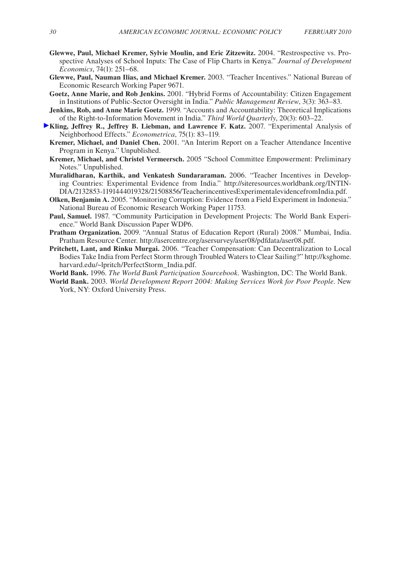- **Glewwe, Paul, Michael Kremer, Sylvie Moulin, and Eric Zitzewitz.** 2004. "Restrospective vs. Prospective Analyses of School Inputs: The Case of Flip Charts in Kenya." *Journal of Development Economics*, 74(1): 251–68.
- **Glewwe, Paul, Nauman Ilias, and Michael Kremer.** 2003. "Teacher Incentives." National Bureau of Economic Research Working Paper 9671.
- **Goetz, Anne Marie, and Rob Jenkins.** 2001. "Hybrid Forms of Accountability: Citizen Engagement in Institutions of Public-Sector Oversight in India." *Public Management Review*, 3(3): 363–83.
- **Jenkins, Rob, and Anne Marie Goetz.** 1999. "Accounts and Accountability: Theoretical Implications of the Right-to-Information Movement in India." *Third World Quarterly*, 20(3): 603–22.
- **Kling, Jeffrey R., Jeffrey B. Liebman, and Lawrence F. Katz.** 2007. "Experimental Analysis of Neighborhood Effects." *Econometrica*, 75(1): 83–119.
	- **Kremer, Michael, and Daniel Chen.** 2001. "An Interim Report on a Teacher Attendance Incentive Program in Kenya." Unpublished.
	- **Kremer, Michael, and Christel Vermeersch.** 2005 "School Committee Empowerment: Preliminary Notes." Unpublished.
	- **Muralidharan, Karthik, and Venkatesh Sundararaman.** 2006. "Teacher Incentives in Developing Countries: Experimental Evidence from India." http://siteresources.worldbank.org/INTIN-DIA/2132853-1191444019328/21508856/TeacherincentivesExperimentalevidencefromIndia.pdf.
	- **Olken, Benjamin A.** 2005. "Monitoring Corruption: Evidence from a Field Experiment in Indonesia." National Bureau of Economic Research Working Paper 11753.
	- **Paul, Samuel.** 1987. "Community Participation in Development Projects: The World Bank Experience." World Bank Discussion Paper WDP6.
	- **Pratham Organization.** 2009. "Annual Status of Education Report (Rural) 2008." Mumbai, India. Pratham Resource Center. http://asercentre.org/asersurvey/aser08/pdfdata/aser08.pdf.
	- **Pritchett, Lant, and Rinku Murgai.** 2006. "Teacher Compensation: Can Decentralization to Local Bodies Take India from Perfect Storm through Troubled Waters to Clear Sailing?" http://ksghome. harvard.edu/~lpritch/PerfectStorm\_India.pdf.
	- **World Bank.** 1996. *The World Bank Participation Sourcebook.* Washington, DC: The World Bank.
	- **World Bank.** 2003. *World Development Report 2004: Making Services Work for Poor People*. New York, NY: Oxford University Press.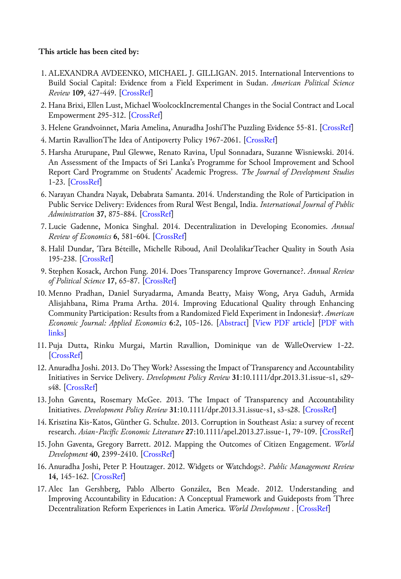### **This article has been cited by:**

- 1. ALEXANDRA AVDEENKO, MICHAEL J. GILLIGAN. 2015. International Interventions to Build Social Capital: Evidence from a Field Experiment in Sudan. *American Political Science Review* **109**, 427-449. [\[CrossRef](http://dx.doi.org/10.1017/S0003055415000210)]
- 2. Hana Brixi, Ellen Lust, Michael WoolcockIncremental Changes in the Social Contract and Local Empowerment 295-312. [\[CrossRef](http://dx.doi.org/10.1596/978-1-4648-0456-4_ch12)]
- 3. Helene Grandvoinnet, Maria Amelina, Anuradha JoshiThe Puzzling Evidence 55-81. [[CrossRef\]](http://dx.doi.org/10.1596/978-1-4648-0481-6_ch2)
- 4. Martin RavallionThe Idea of Antipoverty Policy 1967-2061. [\[CrossRef](http://dx.doi.org/10.1016/B978-0-444-59429-7.00023-6)]
- 5. Harsha Aturupane, Paul Glewwe, Renato Ravina, Upul Sonnadara, Suzanne Wisniewski. 2014. An Assessment of the Impacts of Sri Lanka's Programme for School Improvement and School Report Card Programme on Students' Academic Progress. *The Journal of Development Studies* 1-23. [\[CrossRef\]](http://dx.doi.org/10.1080/00220388.2014.936396)
- 6. Narayan Chandra Nayak, Debabrata Samanta. 2014. Understanding the Role of Participation in Public Service Delivery: Evidences from Rural West Bengal, India. *International Journal of Public Administration* **37**, 875-884. [\[CrossRef](http://dx.doi.org/10.1080/01900692.2014.928313)]
- 7. Lucie Gadenne, Monica Singhal. 2014. Decentralization in Developing Economies. *Annual Review of Economics* **6**, 581-604. [\[CrossRef](http://dx.doi.org/10.1146/annurev-economics-080213-040833)]
- 8. Halil Dundar, Tara Béteille, Michelle Riboud, Anil DeolalikarTeacher Quality in South Asia 195-238. [\[CrossRef](http://dx.doi.org/10.1596/978-1-4648-0160-0_ch5)]
- 9. Stephen Kosack, Archon Fung. 2014. Does Transparency Improve Governance?. *Annual Review of Political Science* **17**, 65-87. [[CrossRef\]](http://dx.doi.org/10.1146/annurev-polisci-032210-144356)
- 10. Menno Pradhan, Daniel Suryadarma, Amanda Beatty, Maisy Wong, Arya Gaduh, Armida Alisjahbana, Rima Prama Artha. 2014. Improving Educational Quality through Enhancing Community Participation: Results from a Randomized Field Experiment in Indonesia†. *American Economic Journal: Applied Economics* **6**:2, 105-126. [[Abstract\]](http://dx.doi.org/10.1257/app.6.2.105) [\[View PDF article](http://pubs.aeaweb.org/doi/pdf/10.1257/app.6.2.105)] [\[PDF with](http://pubs.aeaweb.org/doi/pdfplus/10.1257/app.6.2.105) [links](http://pubs.aeaweb.org/doi/pdfplus/10.1257/app.6.2.105)]
- 11. Puja Dutta, Rinku Murgai, Martin Ravallion, Dominique van de WalleOverview 1-22. [\[CrossRef](http://dx.doi.org/10.1596/978-1-4648-0130-3_ov)]
- 12. Anuradha Joshi. 2013. Do They Work? Assessing the Impact of Transparency and Accountability Initiatives in Service Delivery. *Development Policy Review* **31**:10.1111/dpr.2013.31.issue-s1, s29 s48. [\[CrossRef](http://dx.doi.org/10.1111/dpr.12018)]
- 13. John Gaventa, Rosemary McGee. 2013. The Impact of Transparency and Accountability Initiatives. *Development Policy Review* **31**:10.1111/dpr.2013.31.issue-s1, s3-s28. [\[CrossRef](http://dx.doi.org/10.1111/dpr.12017)]
- 14. Krisztina Kis-Katos, Günther G. Schulze. 2013. Corruption in Southeast Asia: a survey of recent research. *Asian-Pacific Economic Literature* **27**:10.1111/apel.2013.27.issue-1, 79-109. [[CrossRef\]](http://dx.doi.org/10.1111/apel.12004)
- 15. John Gaventa, Gregory Barrett. 2012. Mapping the Outcomes of Citizen Engagement. *World Development* **40**, 2399-2410. [[CrossRef\]](http://dx.doi.org/10.1016/j.worlddev.2012.05.014)
- 16. Anuradha Joshi, Peter P. Houtzager. 2012. Widgets or Watchdogs?. *Public Management Review* **14**, 145-162. [\[CrossRef](http://dx.doi.org/10.1080/14719037.2012.657837)]
- 17. Alec Ian Gershberg, Pablo Alberto González, Ben Meade. 2012. Understanding and Improving Accountability in Education: A Conceptual Framework and Guideposts from Three Decentralization Reform Experiences in Latin America. *World Development* . [[CrossRef\]](http://dx.doi.org/10.1016/j.worlddev.2011.11.014)